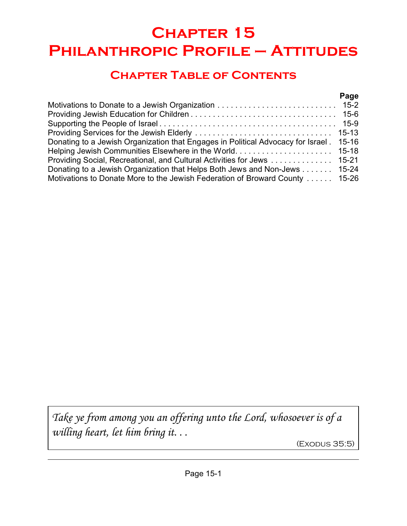# **Chapter 15 Philanthropic Profile – Attitudes**

## **Chapter Table of Contents**

|                                                                                  | Page      |
|----------------------------------------------------------------------------------|-----------|
|                                                                                  |           |
|                                                                                  |           |
|                                                                                  |           |
|                                                                                  |           |
| Donating to a Jewish Organization that Engages in Political Advocacy for Israel. | $15 - 16$ |
|                                                                                  |           |
| Providing Social, Recreational, and Cultural Activities for Jews 15-21           |           |
| Donating to a Jewish Organization that Helps Both Jews and Non-Jews 15-24        |           |
| Motivations to Donate More to the Jewish Federation of Broward County  15-26     |           |

*Take ye from among you an offering unto the Lord, whosoever is of a willing heart, let him bring it. . .*

(Exodus 35:5)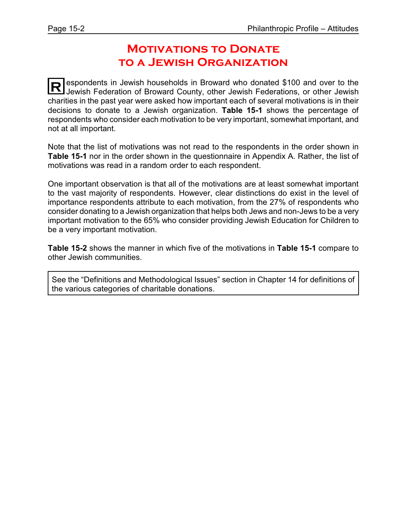### **Motivations to Donate to a Jewish Organization**

**R** espondents in Jewish households in Broward who donated \$100 and over to the<br>lowish Eoderation of Broward County other Jewish Eoderations, or other Jewish Jewish Federation of Broward County, other Jewish Federations, or other Jewish charities in the past year were asked how important each of several motivations is in their decisions to donate to a Jewish organization. **Table 15-1** shows the percentage of respondents who consider each motivation to be very important, somewhat important, and not at all important.

Note that the list of motivations was not read to the respondents in the order shown in **Table 15-1** nor in the order shown in the questionnaire in Appendix A. Rather, the list of motivations was read in a random order to each respondent.

One important observation is that all of the motivations are at least somewhat important to the vast majority of respondents. However, clear distinctions do exist in the level of importance respondents attribute to each motivation, from the 27% of respondents who consider donating to a Jewish organization that helps both Jews and non-Jews to be a very important motivation to the 65% who consider providing Jewish Education for Children to be a very important motivation.

**Table 15-2** shows the manner in which five of the motivations in **Table 15-1** compare to other Jewish communities.

See the "Definitions and Methodological Issues" section in Chapter 14 for definitions of the various categories of charitable donations.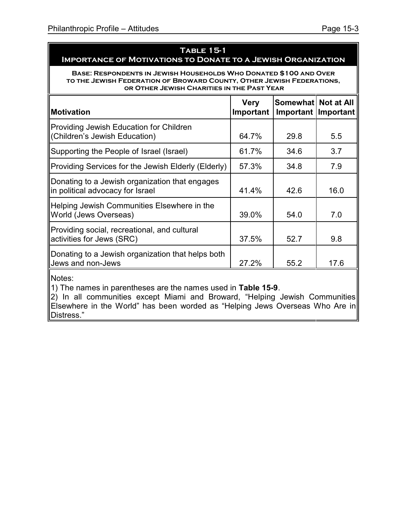### **Table 15-1 Importance of Motivations to Donate to a Jewish Organization**

**Base: Respondents in Jewish Households Who Donated \$100 and Over to the Jewish Federation of Broward County, Other Jewish Federations, or Other Jewish Charities in the Past Year**

| <b>Motivation</b>                                                                  | <b>Very</b><br>Important | Somewhat Not at All<br>Important   Important |      |
|------------------------------------------------------------------------------------|--------------------------|----------------------------------------------|------|
| Providing Jewish Education for Children<br>(Children's Jewish Education)           | 64.7%                    | 29.8                                         | 5.5  |
| Supporting the People of Israel (Israel)                                           | 61.7%                    | 34.6                                         | 3.7  |
| Providing Services for the Jewish Elderly (Elderly)                                | 57.3%                    | 34.8                                         | 7.9  |
| Donating to a Jewish organization that engages<br>in political advocacy for Israel | 41.4%                    | 42.6                                         | 16.0 |
| Helping Jewish Communities Elsewhere in the<br>World (Jews Overseas)               | 39.0%                    | 54.0                                         | 7.0  |
| Providing social, recreational, and cultural<br>activities for Jews (SRC)          | 37.5%                    | 52.7                                         | 9.8  |
| Donating to a Jewish organization that helps both<br>Jews and non-Jews             | 27.2%                    | 55.2                                         | 17.6 |

Notes:

1) The names in parentheses are the names used in **Table 15-9**.

2) In all communities except Miami and Broward, "Helping Jewish Communities Elsewhere in the World" has been worded as "Helping Jews Overseas Who Are in Distress."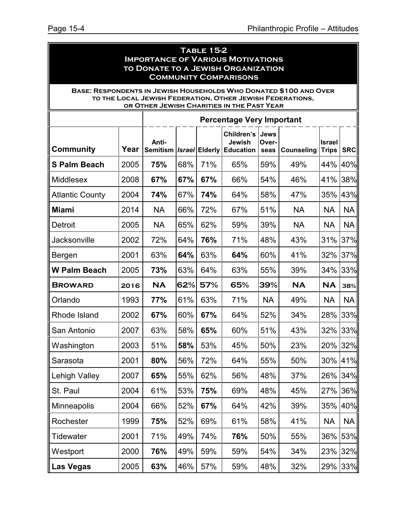| <b>TABLE 15-2</b><br><b>IMPORTANCE OF VARIOUS MOTIVATIONS</b><br>TO DONATE TO A JEWISH ORGANIZATION<br><b>COMMUNITY COMPARISONS</b> |      |                          |                                                                                                                                                      |     |                                                                                                         |           |           |           |           |
|-------------------------------------------------------------------------------------------------------------------------------------|------|--------------------------|------------------------------------------------------------------------------------------------------------------------------------------------------|-----|---------------------------------------------------------------------------------------------------------|-----------|-----------|-----------|-----------|
| <b>BASE: RESPONDENTS IN JEWISH HOUSEHOLDS WHO DONATED \$100 AND OVER</b>                                                            |      |                          |                                                                                                                                                      |     | TO THE LOCAL JEWISH FEDERATION, OTHER JEWISH FEDERATIONS,<br>OR OTHER JEWISH CHARITIES IN THE PAST YEAR |           |           |           |           |
|                                                                                                                                     |      |                          |                                                                                                                                                      |     | <b>Percentage Very Important</b>                                                                        |           |           |           |           |
| <b>Community</b>                                                                                                                    | Year | Anti-<br><b>Semitism</b> | Children's<br>Jews<br>Jewish<br>Over-<br><b>Israel</b><br><b>Israel Elderly Education</b><br><b>SRC</b><br><b>Counseling</b><br><b>Trips</b><br>seas |     |                                                                                                         |           |           |           |           |
| <b>S Palm Beach</b>                                                                                                                 | 2005 | 75%                      | 68%                                                                                                                                                  | 71% | 65%                                                                                                     | 59%       | 49%       | 44%       | 40%       |
| <b>Middlesex</b>                                                                                                                    | 2008 | 67%                      | 67%                                                                                                                                                  | 67% | 66%                                                                                                     | 54%       | 46%       | 41%       | 38%       |
| <b>Atlantic County</b>                                                                                                              | 2004 | 74%                      | 67%                                                                                                                                                  | 74% | 64%                                                                                                     | 58%       | 47%       | 35%       | 43%       |
| <b>Miami</b>                                                                                                                        | 2014 | <b>NA</b>                | 66%                                                                                                                                                  | 72% | 67%                                                                                                     | 51%       | <b>NA</b> | <b>NA</b> | <b>NA</b> |
| Detroit                                                                                                                             | 2005 | <b>NA</b>                | 65%                                                                                                                                                  | 62% | 59%                                                                                                     | 39%       | <b>NA</b> | <b>NA</b> | <b>NA</b> |
| Jacksonville                                                                                                                        | 2002 | 72%                      | 64%                                                                                                                                                  | 76% | 71%                                                                                                     | 48%       | 43%       | 31%       | 37%       |
| Bergen                                                                                                                              | 2001 | 63%                      | 64%                                                                                                                                                  | 63% | 64%                                                                                                     | 60%       | 41%       | 32%       | 37%       |
| <b>W Palm Beach</b>                                                                                                                 | 2005 | 73%                      | 63%                                                                                                                                                  | 64% | 63%                                                                                                     | 55%       | 39%       | 34%       | 33%       |
| <b>BROWARD</b>                                                                                                                      | 2016 | <b>NA</b>                | 62%                                                                                                                                                  | 57% | 65%                                                                                                     | 39%       | <b>NA</b> | <b>NA</b> | 38%       |
| Orlando                                                                                                                             | 1993 | 77%                      | 61%                                                                                                                                                  | 63% | 71%                                                                                                     | <b>NA</b> | 49%       | <b>NA</b> | <b>NA</b> |
| Rhode Island                                                                                                                        | 2002 | 67%                      | 60%                                                                                                                                                  | 67% | 64%                                                                                                     | 52%       | 34%       | 28%       | 33%       |
| San Antonio                                                                                                                         | 2007 | 63%                      | 58%                                                                                                                                                  | 65% | 60%                                                                                                     | 51%       | 43%       | 32%       | 33%       |
| Washington                                                                                                                          | 2003 | 51%                      | 58%                                                                                                                                                  | 53% | 45%                                                                                                     | 50%       | 23%       | 20%       | 32%       |
| Sarasota                                                                                                                            | 2001 | 80%                      | 56%                                                                                                                                                  | 72% | 64%                                                                                                     | 55%       | 50%       | 30%       | 41%       |
| Lehigh Valley                                                                                                                       | 2007 | 65%                      | 55%                                                                                                                                                  | 62% | 56%                                                                                                     | 48%       | 37%       | 26%       | 34%       |
| St. Paul                                                                                                                            | 2004 | 61%                      | 53%                                                                                                                                                  | 75% | 69%                                                                                                     | 48%       | 45%       | 27%       | 36%       |
| <b>Minneapolis</b>                                                                                                                  | 2004 | 66%                      | 52%                                                                                                                                                  | 67% | 64%                                                                                                     | 42%       | 39%       | 35%       | 40%       |
| Rochester                                                                                                                           | 1999 | 75%                      | 52%                                                                                                                                                  | 69% | 61%                                                                                                     | 58%       | 41%       | <b>NA</b> | <b>NA</b> |
| <b>Tidewater</b>                                                                                                                    | 2001 | 71%                      | 49%                                                                                                                                                  | 74% | 76%                                                                                                     | 50%       | 55%       | 36%       | 53%       |
| Westport                                                                                                                            | 2000 | 76%                      | 49%                                                                                                                                                  | 59% | 59%                                                                                                     | 54%       | 34%       | 23%       | 32%       |
| <b>Las Vegas</b>                                                                                                                    | 2005 | 63%                      | 46%                                                                                                                                                  | 57% | 59%                                                                                                     | 48%       | 32%       | 29%       | 33%       |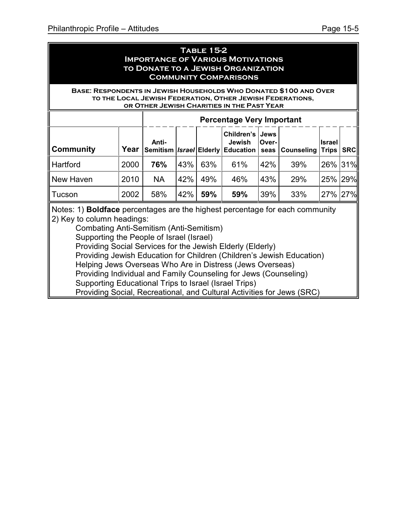#### **Table 15-2 Importance of Various Motivations to Donate to a Jewish Organization Community Comparisons**

#### **Base: Respondents in Jewish Households Who Donated \$100 and Over to the Local Jewish Federation, Other Jewish Federations, or Other Jewish Charities in the Past Year**

|                  |      | <b>Percentage Very Important</b> |     |     |                           |        |                                                                     |               |             |
|------------------|------|----------------------------------|-----|-----|---------------------------|--------|---------------------------------------------------------------------|---------------|-------------|
| <b>Community</b> | Year | Anti-                            |     |     | Children's Jews<br>Jewish | lOver- | Semitism   Israel   Elderly   Education   seas   Counseling   Trips | <b>Israel</b> | <b>SRCI</b> |
| <b>Hartford</b>  | 2000 | 76%                              | 43% | 63% | 61%                       | 42%    | 39%                                                                 | 26% 31%       |             |
| New Haven        | 2010 | <b>NA</b>                        | 42% | 49% | 46%                       | 43%    | 29%                                                                 | 25% 29%       |             |
| Tucson           | 2002 | 58%                              | 42% | 59% | 59%                       | 39%    | 33%                                                                 | 27% 27%       |             |

Notes: 1) **Boldface** percentages are the highest percentage for each community 2) Key to column headings:

Combating Anti-Semitism (Anti-Semitism) Supporting the People of Israel (Israel) Providing Social Services for the Jewish Elderly (Elderly) Providing Jewish Education for Children (Children's Jewish Education) Helping Jews Overseas Who Are in Distress (Jews Overseas) Providing Individual and Family Counseling for Jews (Counseling) Supporting Educational Trips to Israel (Israel Trips) Providing Social, Recreational, and Cultural Activities for Jews (SRC)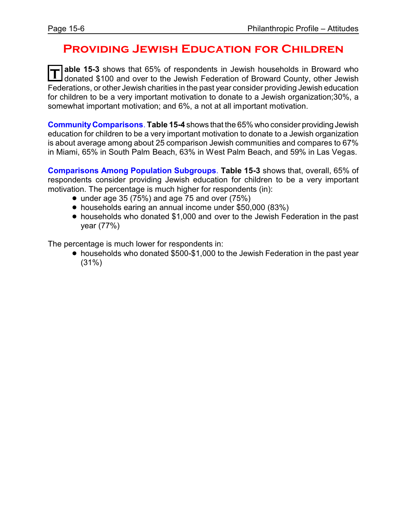### **Providing Jewish Education for Children**

**T** able 15-3 shows that 65% of respondents in Jewish households in Broward who<br>donated \$100 and over to the Jewish Federation of Broward County, other Jewish **able 15-3** shows that 65% of respondents in Jewish households in Broward who Federations, or other Jewish charities in the past year consider providing Jewish education for children to be a very important motivation to donate to a Jewish organization;30%, a somewhat important motivation; and 6%, a not at all important motivation.

**CommunityComparisons**. **Table 15-4** shows that the 65% who consider providing Jewish education for children to be a very important motivation to donate to a Jewish organization is about average among about 25 comparison Jewish communities and compares to 67% in Miami, 65% in South Palm Beach, 63% in West Palm Beach, and 59% in Las Vegas.

**Comparisons Among Population Subgroups**. **Table 15-3** shows that, overall, 65% of respondents consider providing Jewish education for children to be a very important motivation. The percentage is much higher for respondents (in):

- $\bullet$  under age 35 (75%) and age 75 and over (75%)
- ! households earing an annual income under \$50,000 (83%)
- households who donated \$1,000 and over to the Jewish Federation in the past year (77%)

The percentage is much lower for respondents in:

• households who donated \$500-\$1,000 to the Jewish Federation in the past year (31%)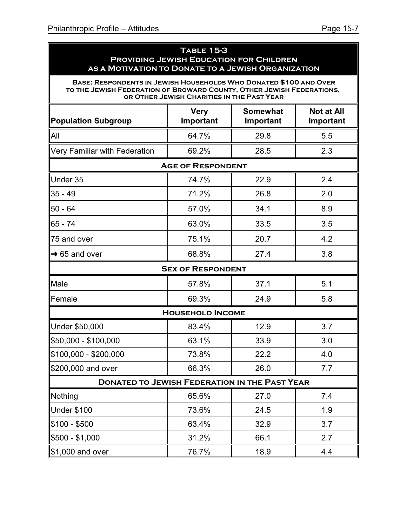**Base: Respondents in Jewish Households Who Donated \$100 and Over to the Jewish Federation of Broward County, Other Jewish Federations, or Other Jewish Charities in the Past Year**

| <b>Population Subgroup</b>                           | <b>Very</b><br>Important | <b>Somewhat</b><br>Important | <b>Not at All</b><br>Important |  |  |  |  |  |  |  |
|------------------------------------------------------|--------------------------|------------------------------|--------------------------------|--|--|--|--|--|--|--|
| All                                                  | 64.7%                    | 29.8                         | 5.5                            |  |  |  |  |  |  |  |
| Very Familiar with Federation                        | 69.2%                    | 28.5                         | 2.3                            |  |  |  |  |  |  |  |
|                                                      | <b>AGE OF RESPONDENT</b> |                              |                                |  |  |  |  |  |  |  |
| Under 35                                             | 74.7%                    | 22.9                         | 2.4                            |  |  |  |  |  |  |  |
| $35 - 49$                                            | 71.2%                    | 26.8                         | 2.0                            |  |  |  |  |  |  |  |
| $50 - 64$                                            | 57.0%                    | 34.1                         | 8.9                            |  |  |  |  |  |  |  |
| 65 - 74                                              | 63.0%                    | 33.5                         | 3.5                            |  |  |  |  |  |  |  |
| 75 and over                                          | 75.1%                    | 20.7                         | 4.2                            |  |  |  |  |  |  |  |
| $\rightarrow$ 65 and over                            | 68.8%                    | 27.4                         | 3.8                            |  |  |  |  |  |  |  |
|                                                      | <b>SEX OF RESPONDENT</b> |                              |                                |  |  |  |  |  |  |  |
| Male                                                 | 57.8%                    | 37.1                         | 5.1                            |  |  |  |  |  |  |  |
| Female                                               | 69.3%                    | 24.9                         | 5.8                            |  |  |  |  |  |  |  |
|                                                      | <b>HOUSEHOLD INCOME</b>  |                              |                                |  |  |  |  |  |  |  |
| Under \$50,000                                       | 83.4%                    | 12.9                         | 3.7                            |  |  |  |  |  |  |  |
| \$50,000 - \$100,000                                 | 63.1%                    | 33.9                         | 3.0                            |  |  |  |  |  |  |  |
| \$100,000 - \$200,000                                | 73.8%                    | 22.2                         | 4.0                            |  |  |  |  |  |  |  |
| \$200,000 and over                                   | 66.3%                    | 26.0                         | 7.7                            |  |  |  |  |  |  |  |
| <b>DONATED TO JEWISH FEDERATION IN THE PAST YEAR</b> |                          |                              |                                |  |  |  |  |  |  |  |
| Nothing                                              | 65.6%                    | 27.0                         | 7.4                            |  |  |  |  |  |  |  |
| Under \$100                                          | 73.6%                    | 24.5                         | 1.9                            |  |  |  |  |  |  |  |
| $$100 - $500$                                        | 63.4%                    | 32.9                         | 3.7                            |  |  |  |  |  |  |  |
| $$500 - $1,000$                                      | 31.2%                    | 66.1                         | 2.7                            |  |  |  |  |  |  |  |
| \$1,000 and over                                     | 76.7%                    | 18.9                         | 4.4                            |  |  |  |  |  |  |  |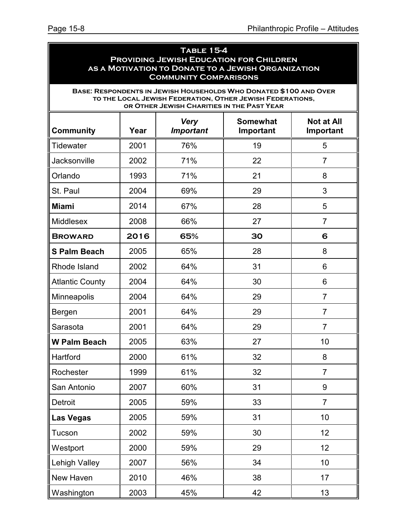| <b>TABLE 15-4</b><br><b>PROVIDING JEWISH EDUCATION FOR CHILDREN</b><br>AS A MOTIVATION TO DONATE TO A JEWISH ORGANIZATION<br><b>COMMUNITY COMPARISONS</b> |      |                                            |                                                                                                                                |                |  |  |  |
|-----------------------------------------------------------------------------------------------------------------------------------------------------------|------|--------------------------------------------|--------------------------------------------------------------------------------------------------------------------------------|----------------|--|--|--|
|                                                                                                                                                           |      | OR OTHER JEWISH CHARITIES IN THE PAST YEAR | BASE: RESPONDENTS IN JEWISH HOUSEHOLDS WHO DONATED \$100 AND OVER<br>TO THE LOCAL JEWISH FEDERATION, OTHER JEWISH FEDERATIONS, |                |  |  |  |
| <b>Somewhat</b><br><b>Not at All</b><br><b>Very</b><br>Community<br>Year<br><b>Important</b><br>Important<br>Important                                    |      |                                            |                                                                                                                                |                |  |  |  |
| <b>Tidewater</b>                                                                                                                                          | 2001 | 76%                                        | 19                                                                                                                             | 5              |  |  |  |
| <b>Jacksonville</b>                                                                                                                                       | 2002 | 71%                                        | 22                                                                                                                             | $\overline{7}$ |  |  |  |
| Orlando                                                                                                                                                   | 1993 | 71%                                        | 21                                                                                                                             | 8              |  |  |  |
| St. Paul                                                                                                                                                  | 2004 | 69%                                        | 29                                                                                                                             | 3              |  |  |  |
| Miami                                                                                                                                                     | 2014 | 67%                                        | 28                                                                                                                             | 5              |  |  |  |
| Middlesex                                                                                                                                                 | 2008 | 66%                                        | 27                                                                                                                             | $\overline{7}$ |  |  |  |
| <b>BROWARD</b>                                                                                                                                            | 2016 | 65%                                        | 30                                                                                                                             | 6              |  |  |  |
| <b>S Palm Beach</b>                                                                                                                                       | 2005 | 65%                                        | 28                                                                                                                             | 8              |  |  |  |
| Rhode Island                                                                                                                                              | 2002 | 64%                                        | 31                                                                                                                             | 6              |  |  |  |
| <b>Atlantic County</b>                                                                                                                                    | 2004 | 64%                                        | 30                                                                                                                             | 6              |  |  |  |
| <b>Minneapolis</b>                                                                                                                                        | 2004 | 64%                                        | 29                                                                                                                             | $\overline{7}$ |  |  |  |
| Bergen                                                                                                                                                    | 2001 | 64%                                        | 29                                                                                                                             | $\overline{7}$ |  |  |  |
| Sarasota                                                                                                                                                  | 2001 | 64%                                        | 29                                                                                                                             | $\overline{7}$ |  |  |  |
| W Palm Beach                                                                                                                                              | 2005 | 63%                                        | 27                                                                                                                             | 10             |  |  |  |
| Hartford                                                                                                                                                  | 2000 | 61%                                        | 32                                                                                                                             | 8              |  |  |  |
| Rochester                                                                                                                                                 | 1999 | 61%                                        | 32                                                                                                                             | $\overline{7}$ |  |  |  |
| San Antonio                                                                                                                                               | 2007 | 60%                                        | 31                                                                                                                             | 9              |  |  |  |
| Detroit                                                                                                                                                   | 2005 | 59%                                        | 33                                                                                                                             | $\overline{7}$ |  |  |  |
| Las Vegas                                                                                                                                                 | 2005 | 59%                                        | 31                                                                                                                             | 10             |  |  |  |
| Tucson                                                                                                                                                    | 2002 | 59%                                        | 30                                                                                                                             | 12             |  |  |  |
| Westport                                                                                                                                                  | 2000 | 59%                                        | 29                                                                                                                             | 12             |  |  |  |
| <b>Lehigh Valley</b>                                                                                                                                      | 2007 | 56%                                        | 34                                                                                                                             | 10             |  |  |  |
| New Haven                                                                                                                                                 | 2010 | 46%                                        | 38                                                                                                                             | 17             |  |  |  |

Washington 2003 45% 42 13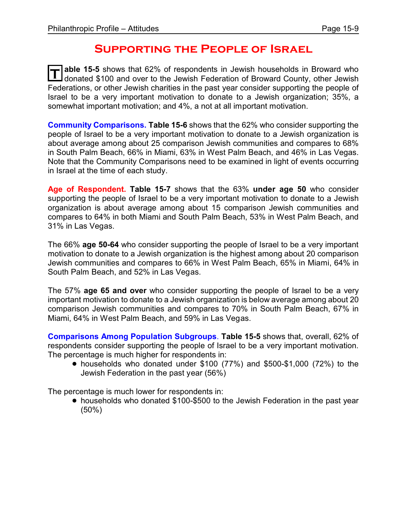### **Supporting the People of Israel**

T able 15-5 shows that 62% of respondents in Jewish households in Broward who<br>I donated \$100 and over to the Jewish Federation of Broward County, other Jewish **able 15-5** shows that 62% of respondents in Jewish households in Broward who Federations, or other Jewish charities in the past year consider supporting the people of Israel to be a very important motivation to donate to a Jewish organization; 35%, a somewhat important motivation; and 4%, a not at all important motivation.

**Community Comparisons. Table 15-6** shows that the 62% who consider supporting the people of Israel to be a very important motivation to donate to a Jewish organization is about average among about 25 comparison Jewish communities and compares to 68% in South Palm Beach, 66% in Miami, 63% in West Palm Beach, and 46% in Las Vegas. Note that the Community Comparisons need to be examined in light of events occurring in Israel at the time of each study.

**Age of Respondent. Table 15-7** shows that the 63% **under age 50** who consider supporting the people of Israel to be a very important motivation to donate to a Jewish organization is about average among about 15 comparison Jewish communities and compares to 64% in both Miami and South Palm Beach, 53% in West Palm Beach, and 31% in Las Vegas.

The 66% **age 50-64** who consider supporting the people of Israel to be a very important motivation to donate to a Jewish organization is the highest among about 20 comparison Jewish communities and compares to 66% in West Palm Beach, 65% in Miami, 64% in South Palm Beach, and 52% in Las Vegas.

The 57% **age 65 and over** who consider supporting the people of Israel to be a very important motivation to donate to a Jewish organization is below average among about 20 comparison Jewish communities and compares to 70% in South Palm Beach, 67% in Miami, 64% in West Palm Beach, and 59% in Las Vegas.

**Comparisons Among Population Subgroups**. **Table 15-5** shows that, overall, 62% of respondents consider supporting the people of Israel to be a very important motivation. The percentage is much higher for respondents in:

 $\bullet$  households who donated under \$100 (77%) and \$500-\$1,000 (72%) to the Jewish Federation in the past year (56%)

The percentage is much lower for respondents in:

• households who donated \$100-\$500 to the Jewish Federation in the past year (50%)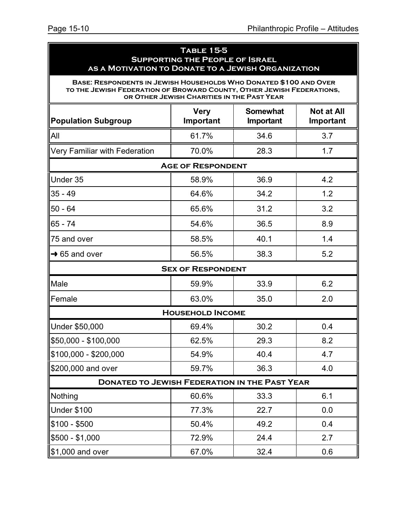### **Table 15-5 Supporting the People of Israel as a Motivation to Donate to a Jewish Organization**

**Base: Respondents in Jewish Households Who Donated \$100 and Over to the Jewish Federation of Broward County, Other Jewish Federations, or Other Jewish Charities in the Past Year**

| <b>Population Subgroup</b>                           | <b>Very</b><br>Important | <b>Somewhat</b><br>Important | <b>Not at All</b><br>Important |
|------------------------------------------------------|--------------------------|------------------------------|--------------------------------|
| All                                                  | 61.7%                    | 34.6                         | 3.7                            |
| Very Familiar with Federation                        | 70.0%                    | 28.3                         | 1.7                            |
|                                                      | <b>AGE OF RESPONDENT</b> |                              |                                |
| Under 35                                             | 58.9%                    | 36.9                         | 4.2                            |
| $35 - 49$                                            | 64.6%                    | 34.2                         | 1.2                            |
| $50 - 64$                                            | 65.6%                    | 31.2                         | 3.2                            |
| $65 - 74$                                            | 54.6%                    | 36.5                         | 8.9                            |
| 75 and over                                          | 58.5%                    | 40.1                         | 1.4                            |
| $\rightarrow$ 65 and over                            | 56.5%                    | 38.3                         | 5.2                            |
|                                                      | <b>SEX OF RESPONDENT</b> |                              |                                |
| Male                                                 | 59.9%                    | 33.9                         | 6.2                            |
| Female                                               | 63.0%                    | 35.0                         | 2.0                            |
|                                                      | <b>HOUSEHOLD INCOME</b>  |                              |                                |
| Under \$50,000                                       | 69.4%                    | 30.2                         | 0.4                            |
| \$50,000 - \$100,000                                 | 62.5%                    | 29.3                         | 8.2                            |
| \$100,000 - \$200,000                                | 54.9%                    | 40.4                         | 4.7                            |
| \$200,000 and over                                   | 59.7%                    | 36.3                         | 4.0                            |
| <b>DONATED TO JEWISH FEDERATION IN THE PAST YEAR</b> |                          |                              |                                |
| Nothing                                              | 60.6%                    | 33.3                         | 6.1                            |
| Under \$100                                          | 77.3%                    | 22.7                         | 0.0                            |
| \$100 - \$500                                        | 50.4%                    | 49.2                         | 0.4                            |
| $$500 - $1,000$                                      | 72.9%                    | 24.4                         | 2.7                            |
| \$1,000 and over                                     | 67.0%                    | 32.4                         | 0.6                            |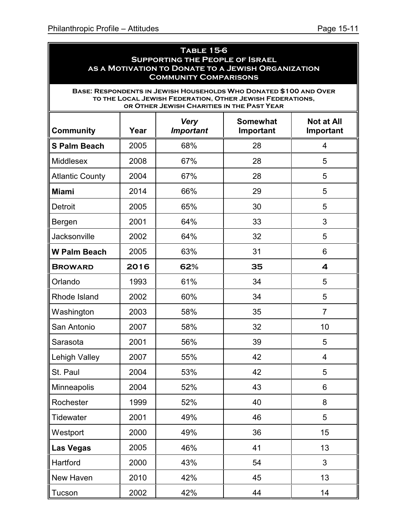ä

| <b>TABLE 15-6</b><br><b>SUPPORTING THE PEOPLE OF ISRAEL</b><br>AS A MOTIVATION TO DONATE TO A JEWISH ORGANIZATION<br><b>COMMUNITY COMPARISONS</b> |                                                                                                           |                                            |                                                                                                                                |                |  |  |  |  |
|---------------------------------------------------------------------------------------------------------------------------------------------------|-----------------------------------------------------------------------------------------------------------|--------------------------------------------|--------------------------------------------------------------------------------------------------------------------------------|----------------|--|--|--|--|
|                                                                                                                                                   |                                                                                                           | OR OTHER JEWISH CHARITIES IN THE PAST YEAR | BASE: RESPONDENTS IN JEWISH HOUSEHOLDS WHO DONATED \$100 AND OVER<br>TO THE LOCAL JEWISH FEDERATION, OTHER JEWISH FEDERATIONS, |                |  |  |  |  |
| <b>Community</b>                                                                                                                                  | <b>Not at All</b><br><b>Somewhat</b><br><b>Very</b><br><b>Important</b><br>Year<br>Important<br>Important |                                            |                                                                                                                                |                |  |  |  |  |
| <b>S Palm Beach</b>                                                                                                                               | 2005                                                                                                      | 68%                                        | 28                                                                                                                             | 4              |  |  |  |  |
| <b>Middlesex</b>                                                                                                                                  | 2008                                                                                                      | 67%                                        | 28                                                                                                                             | 5              |  |  |  |  |
| <b>Atlantic County</b>                                                                                                                            | 2004                                                                                                      | 67%                                        | 28                                                                                                                             | 5              |  |  |  |  |
| <b>Miami</b>                                                                                                                                      | 2014                                                                                                      | 66%                                        | 29                                                                                                                             | 5              |  |  |  |  |
| Detroit                                                                                                                                           | 2005                                                                                                      | 65%                                        | 30                                                                                                                             | 5              |  |  |  |  |
| Bergen                                                                                                                                            | 2001                                                                                                      | 64%                                        | 33                                                                                                                             | 3              |  |  |  |  |
| Jacksonville                                                                                                                                      | 2002                                                                                                      | 64%                                        | 32                                                                                                                             | 5              |  |  |  |  |
| <b>W Palm Beach</b>                                                                                                                               | 2005                                                                                                      | 63%                                        | 31                                                                                                                             | 6              |  |  |  |  |
| <b>BROWARD</b>                                                                                                                                    | 2016                                                                                                      | 62%                                        | 35                                                                                                                             | 4              |  |  |  |  |
| Orlando                                                                                                                                           | 1993                                                                                                      | 61%                                        | 34                                                                                                                             | 5              |  |  |  |  |
| Rhode Island                                                                                                                                      | 2002                                                                                                      | 60%                                        | 34                                                                                                                             | 5              |  |  |  |  |
| Washington                                                                                                                                        | 2003                                                                                                      | 58%                                        | 35                                                                                                                             | $\overline{7}$ |  |  |  |  |
| San Antonio                                                                                                                                       | 2007                                                                                                      | 58%                                        | 32                                                                                                                             | 10             |  |  |  |  |
| Sarasota                                                                                                                                          | 2001                                                                                                      | 56%                                        | 39                                                                                                                             | 5              |  |  |  |  |
| <b>Lehigh Valley</b>                                                                                                                              | 2007                                                                                                      | 55%                                        | 42                                                                                                                             | $\overline{4}$ |  |  |  |  |
| St. Paul                                                                                                                                          | 2004                                                                                                      | 53%                                        | 42                                                                                                                             | 5              |  |  |  |  |
| <b>Minneapolis</b>                                                                                                                                | 2004                                                                                                      | 52%                                        | 43                                                                                                                             | 6              |  |  |  |  |
| Rochester                                                                                                                                         | 1999                                                                                                      | 52%                                        | 40                                                                                                                             | 8              |  |  |  |  |
| Tidewater                                                                                                                                         | 2001                                                                                                      | 49%                                        | 46                                                                                                                             | 5              |  |  |  |  |
| Westport                                                                                                                                          | 2000                                                                                                      | 49%                                        | 36                                                                                                                             | 15             |  |  |  |  |
| <b>Las Vegas</b>                                                                                                                                  | 2005                                                                                                      | 46%                                        | 41                                                                                                                             | 13             |  |  |  |  |
| Hartford                                                                                                                                          | 2000                                                                                                      | 43%                                        | 54                                                                                                                             | 3              |  |  |  |  |
| New Haven                                                                                                                                         | 2010                                                                                                      | 42%                                        | 45                                                                                                                             | 13             |  |  |  |  |
| Tucson                                                                                                                                            | 2002                                                                                                      | 42%                                        | 44                                                                                                                             | 14             |  |  |  |  |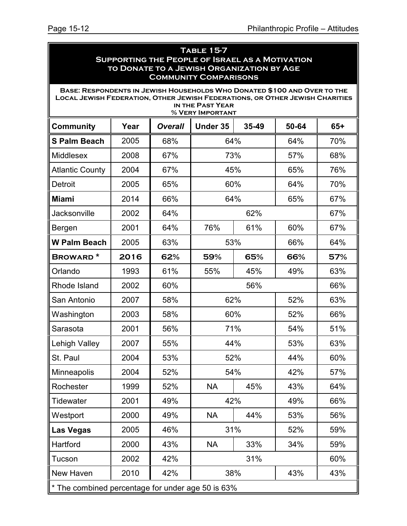| <b>TABLE 15-7</b><br><b>SUPPORTING THE PEOPLE OF ISRAEL AS A MOTIVATION</b><br>TO DONATE TO A JEWISH ORGANIZATION BY AGE<br><b>COMMUNITY COMPARISONS</b>        |      |                |                                      |       |       |       |
|-----------------------------------------------------------------------------------------------------------------------------------------------------------------|------|----------------|--------------------------------------|-------|-------|-------|
| BASE: RESPONDENTS IN JEWISH HOUSEHOLDS WHO DONATED \$100 AND OVER TO THE<br><b>LOCAL JEWISH FEDERATION, OTHER JEWISH FEDERATIONS, OR OTHER JEWISH CHARITIES</b> |      |                | IN THE PAST YEAR<br>% VERY IMPORTANT |       |       |       |
| <b>Community</b>                                                                                                                                                | Year | <b>Overall</b> | Under 35                             | 35-49 | 50-64 | $65+$ |
| <b>S Palm Beach</b>                                                                                                                                             | 2005 | 68%            | 64%                                  |       | 64%   | 70%   |
| Middlesex                                                                                                                                                       | 2008 | 67%            | 73%                                  |       | 57%   | 68%   |
| <b>Atlantic County</b>                                                                                                                                          | 2004 | 67%            | 45%                                  |       | 65%   | 76%   |
| Detroit                                                                                                                                                         | 2005 | 65%            | 60%                                  |       | 64%   | 70%   |
| <b>Miami</b>                                                                                                                                                    | 2014 | 66%            | 64%                                  |       | 65%   | 67%   |
| Jacksonville                                                                                                                                                    | 2002 | 64%            |                                      | 62%   |       | 67%   |
| Bergen                                                                                                                                                          | 2001 | 64%            | 76%                                  | 61%   | 60%   | 67%   |
| <b>W Palm Beach</b>                                                                                                                                             | 2005 | 63%            | 53%                                  |       | 66%   | 64%   |
| <b>BROWARD*</b>                                                                                                                                                 | 2016 | 62%            | 59%                                  | 65%   | 66%   | 57%   |
| Orlando                                                                                                                                                         | 1993 | 61%            | 55%                                  | 45%   | 49%   | 63%   |
| Rhode Island                                                                                                                                                    | 2002 | 60%            |                                      | 56%   |       | 66%   |
| San Antonio                                                                                                                                                     | 2007 | 58%            | 62%                                  |       | 52%   | 63%   |
| Washington                                                                                                                                                      | 2003 | 58%            | 60%                                  |       | 52%   | 66%   |
| Sarasota                                                                                                                                                        | 2001 | 56%            | 71%                                  |       | 54%   | 51%   |
| Lehigh Valley                                                                                                                                                   | 2007 | 55%            | 44%                                  |       | 53%   | 63%   |
| St. Paul                                                                                                                                                        | 2004 | 53%            | 52%                                  |       | 44%   | 60%   |
| <b>Minneapolis</b>                                                                                                                                              | 2004 | 52%            | 54%                                  |       | 42%   | 57%   |
| Rochester                                                                                                                                                       | 1999 | 52%            | <b>NA</b>                            | 45%   | 43%   | 64%   |
| Tidewater                                                                                                                                                       | 2001 | 49%            | 42%                                  |       | 49%   | 66%   |
| Westport                                                                                                                                                        | 2000 | 49%            | <b>NA</b>                            | 44%   | 53%   | 56%   |
| <b>Las Vegas</b>                                                                                                                                                | 2005 | 46%            | 31%                                  |       | 52%   | 59%   |
| Hartford                                                                                                                                                        | 2000 | 43%            | <b>NA</b>                            | 33%   | 34%   | 59%   |
| Tucson                                                                                                                                                          | 2002 | 42%            |                                      | 31%   |       | 60%   |
| New Haven                                                                                                                                                       | 2010 | 42%            | 38%                                  |       | 43%   | 43%   |
| * The combined percentage for under age 50 is 63%                                                                                                               |      |                |                                      |       |       |       |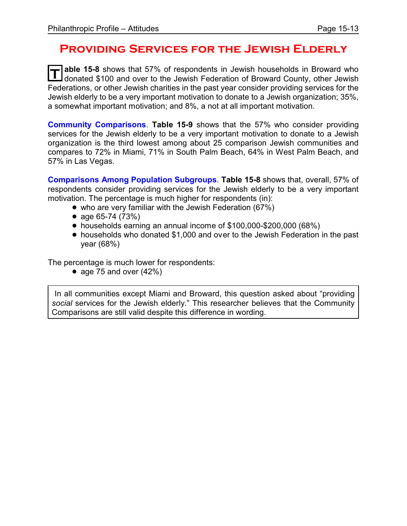### **Providing Services for the Jewish Elderly**

T able 15-8 shows that 57% of respondents in Jewish households in Broward who<br>I donated \$100 and over to the Jewish Federation of Broward County, other Jewish **able 15-8** shows that 57% of respondents in Jewish households in Broward who Federations, or other Jewish charities in the past year consider providing services for the Jewish elderly to be a very important motivation to donate to a Jewish organization; 35%, a somewhat important motivation; and 8%, a not at all important motivation.

**Community Comparisons**. **Table 15-9** shows that the 57% who consider providing services for the Jewish elderly to be a very important motivation to donate to a Jewish organization is the third lowest among about 25 comparison Jewish communities and compares to 72% in Miami, 71% in South Palm Beach, 64% in West Palm Beach, and 57% in Las Vegas.

**Comparisons Among Population Subgroups**. **Table 15-8** shows that, overall, 57% of respondents consider providing services for the Jewish elderly to be a very important motivation. The percentage is much higher for respondents (in):

- who are very familiar with the Jewish Federation (67%)
- age  $65-74$   $(73%)$
- ! households earning an annual income of \$100,000-\$200,000 (68%)
- households who donated \$1,000 and over to the Jewish Federation in the past year (68%)

The percentage is much lower for respondents:

• age 75 and over  $(42\%)$ 

In all communities except Miami and Broward, this question asked about "providing *social* services for the Jewish elderly." This researcher believes that the Community Comparisons are still valid despite this difference in wording.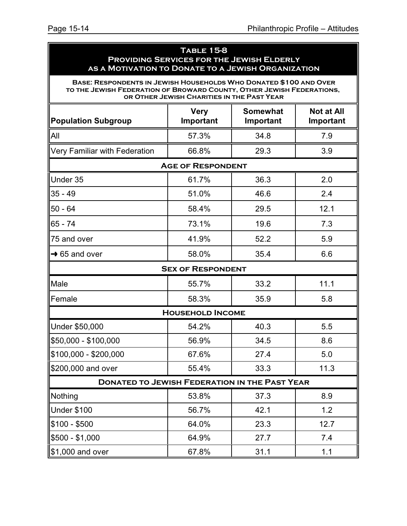### **Table 15-8 Providing Services for the Jewish Elderly as a Motivation to Donate to a Jewish Organization**

**Base: Respondents in Jewish Households Who Donated \$100 and Over to the Jewish Federation of Broward County, Other Jewish Federations, or Other Jewish Charities in the Past Year**

| <b>Population Subgroup</b>                           | <b>Very</b><br>Important | <b>Somewhat</b><br>Important | <b>Not at All</b><br>Important |  |  |  |  |  |  |
|------------------------------------------------------|--------------------------|------------------------------|--------------------------------|--|--|--|--|--|--|
| All                                                  | 57.3%                    | 34.8                         | 7.9                            |  |  |  |  |  |  |
| Very Familiar with Federation                        | 66.8%                    | 29.3                         | 3.9                            |  |  |  |  |  |  |
| <b>AGE OF RESPONDENT</b>                             |                          |                              |                                |  |  |  |  |  |  |
| Under 35                                             | 61.7%                    | 36.3                         | 2.0                            |  |  |  |  |  |  |
| $35 - 49$                                            | 51.0%                    | 46.6                         | 2.4                            |  |  |  |  |  |  |
| $50 - 64$                                            | 58.4%                    | 29.5                         | 12.1                           |  |  |  |  |  |  |
| $65 - 74$                                            | 73.1%                    | 19.6                         | 7.3                            |  |  |  |  |  |  |
| 75 and over                                          | 41.9%                    | 52.2                         | 5.9                            |  |  |  |  |  |  |
| $\rightarrow$ 65 and over                            | 58.0%                    | 35.4                         | 6.6                            |  |  |  |  |  |  |
|                                                      | <b>SEX OF RESPONDENT</b> |                              |                                |  |  |  |  |  |  |
| Male                                                 | 55.7%                    | 33.2                         | 11.1                           |  |  |  |  |  |  |
| Female                                               | 58.3%                    | 35.9                         | 5.8                            |  |  |  |  |  |  |
|                                                      | <b>HOUSEHOLD INCOME</b>  |                              |                                |  |  |  |  |  |  |
| Under \$50,000                                       | 54.2%                    | 40.3                         | 5.5                            |  |  |  |  |  |  |
| \$50,000 - \$100,000                                 | 56.9%                    | 34.5                         | 8.6                            |  |  |  |  |  |  |
| \$100,000 - \$200,000                                | 67.6%                    | 27.4                         | 5.0                            |  |  |  |  |  |  |
| \$200,000 and over                                   | 55.4%                    | 33.3                         | 11.3                           |  |  |  |  |  |  |
| <b>DONATED TO JEWISH FEDERATION IN THE PAST YEAR</b> |                          |                              |                                |  |  |  |  |  |  |
| Nothing                                              | 53.8%                    | 37.3                         | 8.9                            |  |  |  |  |  |  |
| Under \$100                                          | 56.7%                    | 42.1                         | 1.2                            |  |  |  |  |  |  |
| $$100 - $500$                                        | 64.0%                    | 23.3                         | 12.7                           |  |  |  |  |  |  |
| $$500 - $1,000$                                      | 64.9%                    | 27.7                         | 7.4                            |  |  |  |  |  |  |
| \$1,000 and over                                     | 67.8%                    | 31.1                         | 1.1                            |  |  |  |  |  |  |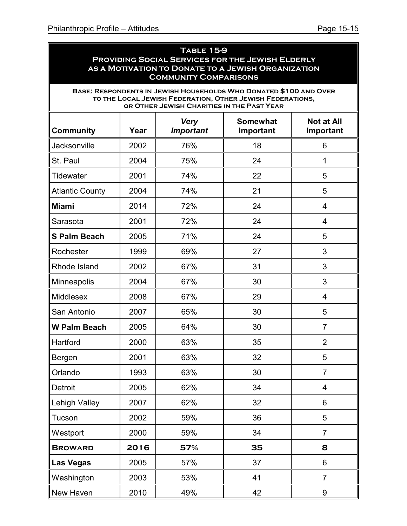| <b>TABLE 15-9</b><br><b>PROVIDING SOCIAL SERVICES FOR THE JEWISH ELDERLY</b><br>AS A MOTIVATION TO DONATE TO A JEWISH ORGANIZATION                                                                           |      |                                 |                              |                                |  |  |  |
|--------------------------------------------------------------------------------------------------------------------------------------------------------------------------------------------------------------|------|---------------------------------|------------------------------|--------------------------------|--|--|--|
| <b>COMMUNITY COMPARISONS</b><br>BASE: RESPONDENTS IN JEWISH HOUSEHOLDS WHO DONATED \$100 AND OVER<br>TO THE LOCAL JEWISH FEDERATION, OTHER JEWISH FEDERATIONS,<br>OR OTHER JEWISH CHARITIES IN THE PAST YEAR |      |                                 |                              |                                |  |  |  |
| <b>Community</b>                                                                                                                                                                                             | Year | <b>Very</b><br><b>Important</b> | <b>Somewhat</b><br>Important | <b>Not at All</b><br>Important |  |  |  |
| Jacksonville                                                                                                                                                                                                 | 2002 | 76%                             | 18                           | 6                              |  |  |  |
| St. Paul                                                                                                                                                                                                     | 2004 | 75%                             | 24                           | 1                              |  |  |  |
| <b>Tidewater</b>                                                                                                                                                                                             | 2001 | 74%                             | 22                           | 5                              |  |  |  |
| <b>Atlantic County</b>                                                                                                                                                                                       | 2004 | 74%                             | 21                           | 5                              |  |  |  |
| <b>Miami</b>                                                                                                                                                                                                 | 2014 | 72%                             | 24                           | 4                              |  |  |  |
| Sarasota                                                                                                                                                                                                     | 2001 | 72%                             | 24                           | 4                              |  |  |  |
| <b>S Palm Beach</b>                                                                                                                                                                                          | 2005 | 71%                             | 24                           | 5                              |  |  |  |
| Rochester                                                                                                                                                                                                    | 1999 | 69%                             | 27                           | 3                              |  |  |  |
| Rhode Island                                                                                                                                                                                                 | 2002 | 67%                             | 31                           | 3                              |  |  |  |
| Minneapolis                                                                                                                                                                                                  | 2004 | 67%                             | 30                           | 3                              |  |  |  |
| <b>Middlesex</b>                                                                                                                                                                                             | 2008 | 67%                             | 29                           | 4                              |  |  |  |
| San Antonio                                                                                                                                                                                                  | 2007 | 65%                             | 30                           | 5                              |  |  |  |
| <b>W Palm Beach</b>                                                                                                                                                                                          | 2005 | 64%                             | 30                           | $\overline{7}$                 |  |  |  |
| Hartford                                                                                                                                                                                                     | 2000 | 63%                             | 35                           | $\overline{2}$                 |  |  |  |
| Bergen                                                                                                                                                                                                       | 2001 | 63%                             | 32                           | 5                              |  |  |  |
| Orlando                                                                                                                                                                                                      | 1993 | 63%                             | 30                           | $\overline{7}$                 |  |  |  |
| Detroit                                                                                                                                                                                                      | 2005 | 62%                             | 34                           | 4                              |  |  |  |
| Lehigh Valley                                                                                                                                                                                                | 2007 | 62%                             | 32                           | 6                              |  |  |  |
| Tucson                                                                                                                                                                                                       | 2002 | 59%                             | 36                           | 5                              |  |  |  |
| Westport                                                                                                                                                                                                     | 2000 | 59%                             | 34                           | 7                              |  |  |  |
| <b>BROWARD</b>                                                                                                                                                                                               | 2016 | 57%                             | 35                           | 8                              |  |  |  |
| <b>Las Vegas</b>                                                                                                                                                                                             | 2005 | 57%                             | 37                           | 6                              |  |  |  |
| Washington                                                                                                                                                                                                   | 2003 | 53%                             | 41                           | 7                              |  |  |  |
| New Haven                                                                                                                                                                                                    | 2010 | 49%                             | 42                           | 9                              |  |  |  |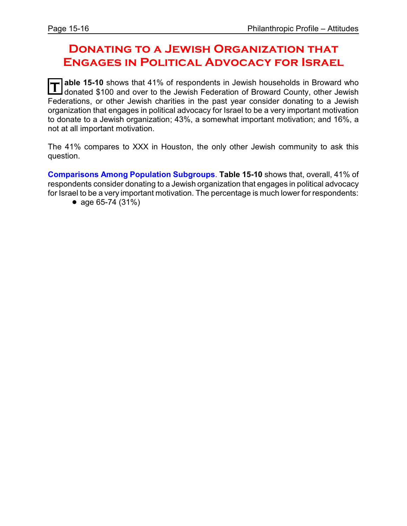### **Donating to a Jewish Organization that Engages in Political Advocacy for Israel**

**T able 15-10** shows that 41% of respondents in Jewish households in Broward who donated \$100 and over to the Jewish Federation of Broward County, other Jewish Federations, or other Jewish charities in the past year consider donating to a Jewish organization that engages in political advocacy for Israel to be a very important motivation to donate to a Jewish organization; 43%, a somewhat important motivation; and 16%, a not at all important motivation.

The 41% compares to XXX in Houston, the only other Jewish community to ask this question.

**Comparisons Among Population Subgroups**. **Table 15-10** shows that, overall, 41% of respondents consider donating to a Jewish organization that engages in political advocacy for Israel to be a very important motivation. The percentage is much lower for respondents:

• age  $65-74$  (31%)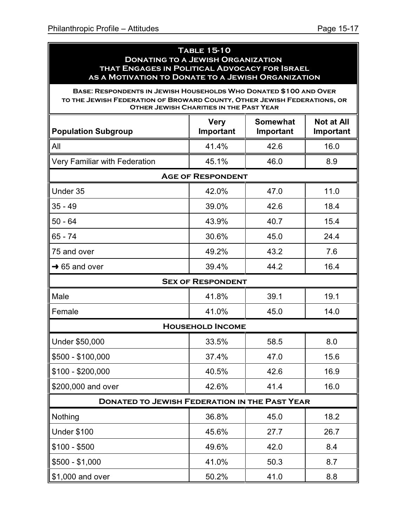#### **Table 15-10 Donating to a Jewish Organization that Engages in Political Advocacy for Israel as a Motivation to Donate to a Jewish Organization**

**Base: Respondents in Jewish Households Who Donated \$100 and Over to the Jewish Federation of Broward County, Other Jewish Federations, or Other Jewish Charities in the Past Year**

| <b>Population Subgroup</b>                           | <b>Very</b><br>Important | <b>Somewhat</b><br>Important | <b>Not at All</b><br>Important |
|------------------------------------------------------|--------------------------|------------------------------|--------------------------------|
| All                                                  | 41.4%                    | 42.6                         | 16.0                           |
| Very Familiar with Federation                        | 45.1%                    | 46.0                         | 8.9                            |
|                                                      | <b>AGE OF RESPONDENT</b> |                              |                                |
| Under 35                                             | 42.0%                    | 47.0                         | 11.0                           |
| $35 - 49$                                            | 39.0%                    | 42.6                         | 18.4                           |
| $50 - 64$                                            | 43.9%                    | 40.7                         | 15.4                           |
| $65 - 74$                                            | 30.6%                    | 45.0                         | 24.4                           |
| 75 and over                                          | 49.2%                    | 43.2                         | 7.6                            |
| $\rightarrow$ 65 and over                            | 39.4%                    | 44.2                         | 16.4                           |
|                                                      | <b>SEX OF RESPONDENT</b> |                              |                                |
| Male                                                 | 41.8%                    | 39.1                         | 19.1                           |
| Female                                               | 41.0%                    | 45.0                         | 14.0                           |
|                                                      | <b>HOUSEHOLD INCOME</b>  |                              |                                |
| Under \$50,000                                       | 33.5%                    | 58.5                         | 8.0                            |
| \$500 - \$100,000                                    | 37.4%                    | 47.0                         | 15.6                           |
| $$100 - $200,000$                                    | 40.5%                    | 42.6                         | 16.9                           |
| \$200,000 and over                                   | 42.6%                    | 41.4                         | 16.0                           |
| <b>DONATED TO JEWISH FEDERATION IN THE PAST YEAR</b> |                          |                              |                                |
| Nothing                                              | 36.8%                    | 45.0                         | 18.2                           |
| Under \$100                                          | 45.6%                    | 27.7                         | 26.7                           |
| $$100 - $500$                                        | 49.6%                    | 42.0                         | 8.4                            |
| $$500 - $1,000$                                      | 41.0%                    | 50.3                         | 8.7                            |
| \$1,000 and over                                     | 50.2%                    | 41.0                         | 8.8                            |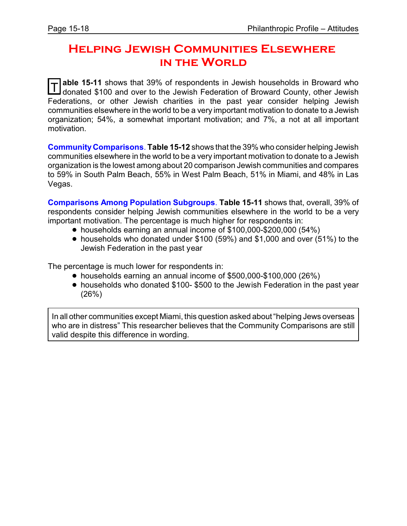### **Helping Jewish Communities Elsewhere in the World**

T able 15-11 shows that 39% of respondents in Jewish households in Broward who<br>I donated \$100 and over to the Jewish Federation of Broward County, other Jewish donated \$100 and over to the Jewish Federation of Broward County, other Jewish Federations, or other Jewish charities in the past year consider helping Jewish communities elsewhere in the world to be a very important motivation to donate to a Jewish organization; 54%, a somewhat important motivation; and 7%, a not at all important motivation.

**CommunityComparisons**. **Table 15-12** shows that the 39% who consider helping Jewish communities elsewhere in the world to be a very important motivation to donate to a Jewish organization is the lowest among about 20 comparison Jewish communities and compares to 59% in South Palm Beach, 55% in West Palm Beach, 51% in Miami, and 48% in Las Vegas.

**Comparisons Among Population Subgroups**. **Table 15-11** shows that, overall, 39% of respondents consider helping Jewish communities elsewhere in the world to be a very important motivation. The percentage is much higher for respondents in:

- ! households earning an annual income of \$100,000-\$200,000 (54%)
- ! households who donated under \$100 (59%) and \$1,000 and over (51%) to the Jewish Federation in the past year

The percentage is much lower for respondents in:

- ! households earning an annual income of \$500,000-\$100,000 (26%)
- households who donated \$100- \$500 to the Jewish Federation in the past year (26%)

In all other communities except Miami, this question asked about"helping Jews overseas who are in distress" This researcher believes that the Community Comparisons are still valid despite this difference in wording.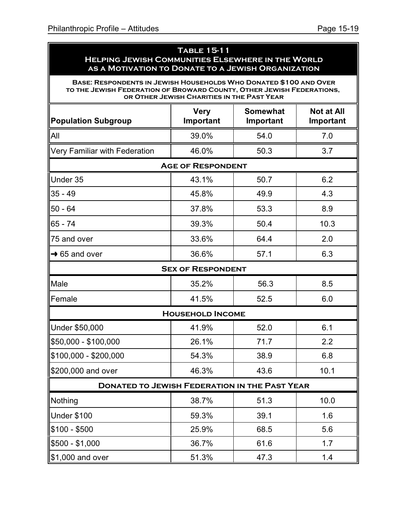#### **Table 15-11 Helping Jewish Communities Elsewhere in the World as a Motivation to Donate to a Jewish Organization**

**Base: Respondents in Jewish Households Who Donated \$100 and Over to the Jewish Federation of Broward County, Other Jewish Federations, or Other Jewish Charities in the Past Year**

| <b>Population Subgroup</b>                           | <b>Very</b><br>Important | <b>Somewhat</b><br>Important | <b>Not at All</b><br>Important |  |  |
|------------------------------------------------------|--------------------------|------------------------------|--------------------------------|--|--|
| All                                                  | 39.0%                    | 54.0                         | 7.0                            |  |  |
| Very Familiar with Federation                        | 46.0%                    | 50.3                         | 3.7                            |  |  |
|                                                      | <b>AGE OF RESPONDENT</b> |                              |                                |  |  |
| Under 35                                             | 43.1%                    | 50.7                         | 6.2                            |  |  |
| $35 - 49$                                            | 45.8%                    | 49.9                         | 4.3                            |  |  |
| $50 - 64$                                            | 37.8%                    | 53.3                         | 8.9                            |  |  |
| $65 - 74$                                            | 39.3%                    | 50.4                         | 10.3                           |  |  |
| 75 and over                                          | 33.6%                    | 64.4                         | 2.0                            |  |  |
| $\rightarrow$ 65 and over                            | 36.6%                    | 57.1                         | 6.3                            |  |  |
| <b>SEX OF RESPONDENT</b>                             |                          |                              |                                |  |  |
| Male                                                 | 35.2%                    | 56.3                         | 8.5                            |  |  |
| Female                                               | 41.5%                    | 52.5                         | 6.0                            |  |  |
|                                                      | <b>HOUSEHOLD INCOME</b>  |                              |                                |  |  |
| Under \$50,000                                       | 41.9%                    | 52.0                         | 6.1                            |  |  |
| \$50,000 - \$100,000                                 | 26.1%                    | 71.7                         | 2.2                            |  |  |
| \$100,000 - \$200,000                                | 54.3%                    | 38.9                         | 6.8                            |  |  |
| \$200,000 and over                                   | 46.3%                    | 43.6                         | 10.1                           |  |  |
| <b>DONATED TO JEWISH FEDERATION IN THE PAST YEAR</b> |                          |                              |                                |  |  |
| Nothing                                              | 38.7%                    | 51.3                         | 10.0                           |  |  |
| Under \$100                                          | 59.3%                    | 39.1                         | 1.6                            |  |  |
| $$100 - $500$                                        | 25.9%                    | 68.5                         | 5.6                            |  |  |
| \$500 - \$1,000                                      | 36.7%                    | 61.6                         | 1.7                            |  |  |
| \$1,000 and over                                     | 51.3%                    | 47.3                         | 1.4                            |  |  |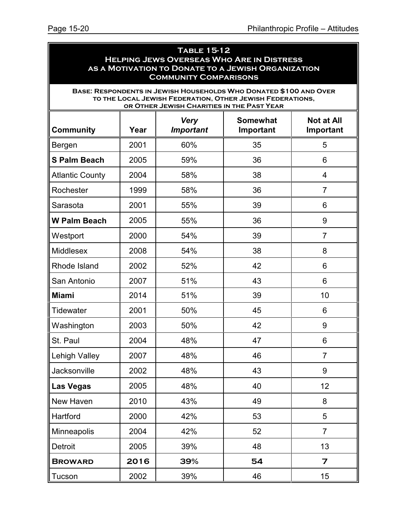| <b>TABLE 15-12</b><br><b>HELPING JEWS OVERSEAS WHO ARE IN DISTRESS</b><br>AS A MOTIVATION TO DONATE TO A JEWISH ORGANIZATION<br><b>COMMUNITY COMPARISONS</b> |      |                                            |                                                                                                                                |                                |
|--------------------------------------------------------------------------------------------------------------------------------------------------------------|------|--------------------------------------------|--------------------------------------------------------------------------------------------------------------------------------|--------------------------------|
|                                                                                                                                                              |      | OR OTHER JEWISH CHARITIES IN THE PAST YEAR | BASE: RESPONDENTS IN JEWISH HOUSEHOLDS WHO DONATED \$100 AND OVER<br>TO THE LOCAL JEWISH FEDERATION, OTHER JEWISH FEDERATIONS, |                                |
| <b>Community</b>                                                                                                                                             | Year | <b>Very</b><br><b>Important</b>            | <b>Somewhat</b><br>Important                                                                                                   | <b>Not at All</b><br>Important |
| Bergen                                                                                                                                                       | 2001 | 60%                                        | 35                                                                                                                             | 5                              |
| <b>S Palm Beach</b>                                                                                                                                          | 2005 | 59%                                        | 36                                                                                                                             | 6                              |
| <b>Atlantic County</b>                                                                                                                                       | 2004 | 58%                                        | 38                                                                                                                             | 4                              |
| Rochester                                                                                                                                                    | 1999 | 58%                                        | 36                                                                                                                             | $\overline{7}$                 |
| Sarasota                                                                                                                                                     | 2001 | 55%                                        | 39                                                                                                                             | 6                              |
| <b>W Palm Beach</b>                                                                                                                                          | 2005 | 55%                                        | 36                                                                                                                             | 9                              |
| Westport                                                                                                                                                     | 2000 | 54%                                        | 39                                                                                                                             | $\overline{7}$                 |
| <b>Middlesex</b>                                                                                                                                             | 2008 | 54%                                        | 38                                                                                                                             | 8                              |
| Rhode Island                                                                                                                                                 | 2002 | 52%                                        | 42                                                                                                                             | 6                              |
| San Antonio                                                                                                                                                  | 2007 | 51%                                        | 43                                                                                                                             | 6                              |
| <b>Miami</b>                                                                                                                                                 | 2014 | 51%                                        | 39                                                                                                                             | 10                             |
| <b>Tidewater</b>                                                                                                                                             | 2001 | 50%                                        | 45                                                                                                                             | 6                              |
| Washington                                                                                                                                                   | 2003 | 50%                                        | 42                                                                                                                             | 9                              |
| St. Paul                                                                                                                                                     | 2004 | 48%                                        | 47                                                                                                                             | 6                              |
| <b>Lehigh Valley</b>                                                                                                                                         | 2007 | 48%                                        | 46                                                                                                                             | $\overline{7}$                 |
| Jacksonville                                                                                                                                                 | 2002 | 48%                                        | 43                                                                                                                             | 9                              |
| <b>Las Vegas</b>                                                                                                                                             | 2005 | 48%                                        | 40                                                                                                                             | 12                             |
| New Haven                                                                                                                                                    | 2010 | 43%                                        | 49                                                                                                                             | 8                              |
| Hartford                                                                                                                                                     | 2000 | 42%                                        | 53                                                                                                                             | 5                              |
| <b>Minneapolis</b>                                                                                                                                           | 2004 | 42%                                        | 52                                                                                                                             | $\overline{7}$                 |
| Detroit                                                                                                                                                      | 2005 | 39%                                        | 48                                                                                                                             | 13                             |
| <b>BROWARD</b>                                                                                                                                               | 2016 | 39%                                        | 54                                                                                                                             | $\overline{z}$                 |
| Tucson                                                                                                                                                       | 2002 | 39%                                        | 46                                                                                                                             | 15                             |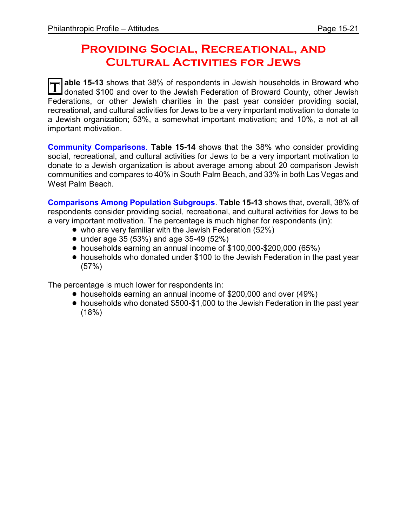### **PROVIDING SOCIAL, RECREATIONAL, AND Cultural Activities for Jews**

**T** able 15-13 shows that 38% of respondents in Jewish households in Broward who donated \$100 and over to the Jewish Federation of Broward County, other Jewish Federations, or other Jewish charities in the past year consider providing social, recreational, and cultural activities for Jews to be a very important motivation to donate to a Jewish organization; 53%, a somewhat important motivation; and 10%, a not at all important motivation.

**Community Comparisons**. **Table 15-14** shows that the 38% who consider providing social, recreational, and cultural activities for Jews to be a very important motivation to donate to a Jewish organization is about average among about 20 comparison Jewish communities and compares to 40% in South Palm Beach, and 33% in both Las Vegas and West Palm Beach.

**Comparisons Among Population Subgroups**. **Table 15-13** shows that, overall, 38% of respondents consider providing social, recreational, and cultural activities for Jews to be a very important motivation. The percentage is much higher for respondents (in):

- who are very familiar with the Jewish Federation (52%)
- under age 35 (53%) and age 35-49 (52%)
- ! households earning an annual income of \$100,000-\$200,000 (65%)
- ! households who donated under \$100 to the Jewish Federation in the past year (57%)

The percentage is much lower for respondents in:

- households earning an annual income of \$200,000 and over (49%)
- ! households who donated \$500-\$1,000 to the Jewish Federation in the past year (18%)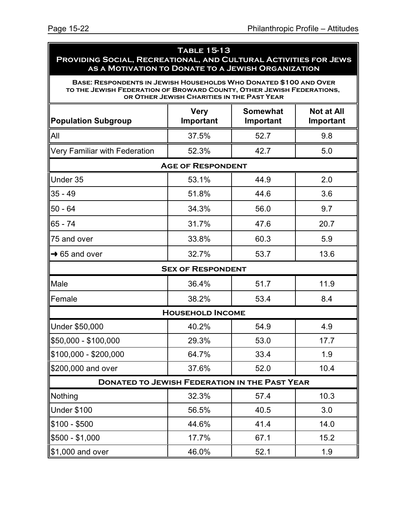#### **Table 15-13 Providing Social, Recreational, and Cultural Activities for Jews as a Motivation to Donate to a Jewish Organization**

**Base: Respondents in Jewish Households Who Donated \$100 and Over to the Jewish Federation of Broward County, Other Jewish Federations, or Other Jewish Charities in the Past Year**

| <b>Population Subgroup</b>                           | <b>Very</b><br>Important | <b>Somewhat</b><br>Important | <b>Not at All</b><br>Important |  |  |  |
|------------------------------------------------------|--------------------------|------------------------------|--------------------------------|--|--|--|
| All                                                  | 37.5%                    | 52.7                         | 9.8                            |  |  |  |
| Very Familiar with Federation                        | 52.3%                    | 42.7                         | 5.0                            |  |  |  |
|                                                      | <b>AGE OF RESPONDENT</b> |                              |                                |  |  |  |
| Under 35                                             | 53.1%                    | 44.9                         | 2.0                            |  |  |  |
| $35 - 49$                                            | 51.8%                    | 44.6                         | 3.6                            |  |  |  |
| $50 - 64$                                            | 34.3%                    | 56.0                         | 9.7                            |  |  |  |
| 65 - 74                                              | 31.7%                    | 47.6                         | 20.7                           |  |  |  |
| 75 and over                                          | 33.8%                    | 60.3                         | 5.9                            |  |  |  |
| $\rightarrow$ 65 and over                            | 32.7%                    | 53.7                         | 13.6                           |  |  |  |
| <b>SEX OF RESPONDENT</b>                             |                          |                              |                                |  |  |  |
| Male                                                 | 36.4%                    | 51.7                         | 11.9                           |  |  |  |
| Female                                               | 38.2%                    | 53.4                         | 8.4                            |  |  |  |
|                                                      | <b>HOUSEHOLD INCOME</b>  |                              |                                |  |  |  |
| Under \$50,000                                       | 40.2%                    | 54.9                         | 4.9                            |  |  |  |
| \$50,000 - \$100,000                                 | 29.3%                    | 53.0                         | 17.7                           |  |  |  |
| \$100,000 - \$200,000                                | 64.7%                    | 33.4                         | 1.9                            |  |  |  |
| \$200,000 and over                                   | 37.6%                    | 52.0                         | 10.4                           |  |  |  |
| <b>DONATED TO JEWISH FEDERATION IN THE PAST YEAR</b> |                          |                              |                                |  |  |  |
| Nothing                                              | 32.3%                    | 57.4                         | 10.3                           |  |  |  |
| Under \$100                                          | 56.5%                    | 40.5                         | 3.0                            |  |  |  |
| $$100 - $500$                                        | 44.6%                    | 41.4                         | 14.0                           |  |  |  |
| \$500 - \$1,000                                      | 17.7%                    | 67.1                         | 15.2                           |  |  |  |
| \$1,000 and over                                     | 46.0%                    | 52.1                         | 1.9                            |  |  |  |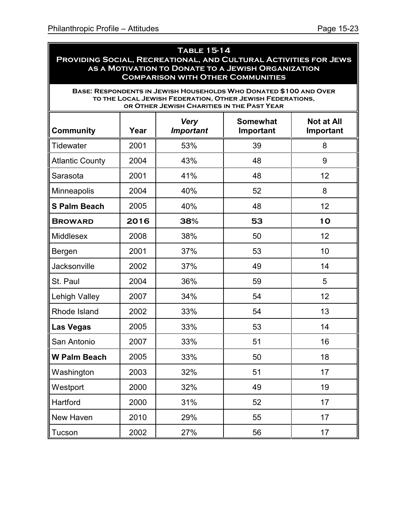ä

| <b>TABLE 15-14</b><br>PROVIDING SOCIAL, RECREATIONAL, AND CULTURAL ACTIVITIES FOR JEWS<br>AS A MOTIVATION TO DONATE TO A JEWISH ORGANIZATION<br><b>COMPARISON WITH OTHER COMMUNITIES</b> |      |                                            |                                                                                                                                |                                |
|------------------------------------------------------------------------------------------------------------------------------------------------------------------------------------------|------|--------------------------------------------|--------------------------------------------------------------------------------------------------------------------------------|--------------------------------|
|                                                                                                                                                                                          |      | OR OTHER JEWISH CHARITIES IN THE PAST YEAR | BASE: RESPONDENTS IN JEWISH HOUSEHOLDS WHO DONATED \$100 AND OVER<br>TO THE LOCAL JEWISH FEDERATION, OTHER JEWISH FEDERATIONS, |                                |
| <b>Community</b>                                                                                                                                                                         | Year | <b>Very</b><br><b>Important</b>            | <b>Somewhat</b><br>Important                                                                                                   | <b>Not at All</b><br>Important |
| <b>Tidewater</b>                                                                                                                                                                         | 2001 | 53%                                        | 39                                                                                                                             | 8                              |
| <b>Atlantic County</b>                                                                                                                                                                   | 2004 | 43%                                        | 48                                                                                                                             | 9                              |
| Sarasota                                                                                                                                                                                 | 2001 | 41%                                        | 48                                                                                                                             | 12                             |
| Minneapolis                                                                                                                                                                              | 2004 | 40%                                        | 52                                                                                                                             | 8                              |
| <b>S Palm Beach</b>                                                                                                                                                                      | 2005 | 40%                                        | 48                                                                                                                             | 12                             |
| <b>BROWARD</b>                                                                                                                                                                           | 2016 | 38%                                        | 53                                                                                                                             | 10                             |
| <b>Middlesex</b>                                                                                                                                                                         | 2008 | 38%                                        | 50                                                                                                                             | 12                             |
| Bergen                                                                                                                                                                                   | 2001 | 37%                                        | 53                                                                                                                             | 10                             |
| Jacksonville                                                                                                                                                                             | 2002 | 37%                                        | 49                                                                                                                             | 14                             |
| St. Paul                                                                                                                                                                                 | 2004 | 36%                                        | 59                                                                                                                             | 5                              |
| Lehigh Valley                                                                                                                                                                            | 2007 | 34%                                        | 54                                                                                                                             | 12                             |
| Rhode Island                                                                                                                                                                             | 2002 | 33%                                        | 54                                                                                                                             | 13                             |
| <b>Las Vegas</b>                                                                                                                                                                         | 2005 | 33%                                        | 53                                                                                                                             | 14                             |
| San Antonio                                                                                                                                                                              | 2007 | 33%                                        | 51                                                                                                                             | 16                             |
| <b>W Palm Beach</b>                                                                                                                                                                      | 2005 | 33%                                        | 50                                                                                                                             | 18                             |
| Washington                                                                                                                                                                               | 2003 | 32%                                        | 51                                                                                                                             | 17                             |
| Westport                                                                                                                                                                                 | 2000 | 32%                                        | 49                                                                                                                             | 19                             |
| Hartford                                                                                                                                                                                 | 2000 | 31%                                        | 52                                                                                                                             | 17                             |
| New Haven                                                                                                                                                                                | 2010 | 29%                                        | 55                                                                                                                             | 17                             |
| Tucson                                                                                                                                                                                   | 2002 | 27%                                        | 56                                                                                                                             | 17                             |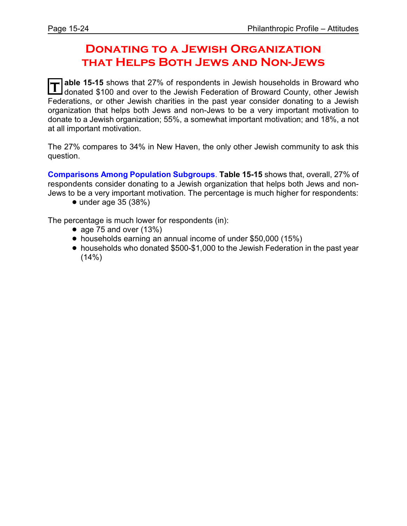### **Donating to a Jewish Organization that Helps Both Jews and Non-Jews**

**T** able 15-15 shows that 27% of respondents in Jewish households in Broward who donated \$100 and over to the Jewish Federation of Broward County, other Jewish Federations, or other Jewish charities in the past year consider donating to a Jewish organization that helps both Jews and non-Jews to be a very important motivation to donate to a Jewish organization; 55%, a somewhat important motivation; and 18%, a not at all important motivation.

The 27% compares to 34% in New Haven, the only other Jewish community to ask this question.

**Comparisons Among Population Subgroups**. **Table 15-15** shows that, overall, 27% of respondents consider donating to a Jewish organization that helps both Jews and non-Jews to be a very important motivation. The percentage is much higher for respondents:

 $\bullet$  under age 35 (38%)

The percentage is much lower for respondents (in):

- age 75 and over  $(13%)$
- households earning an annual income of under \$50,000 (15%)
- households who donated \$500-\$1,000 to the Jewish Federation in the past year  $(14%)$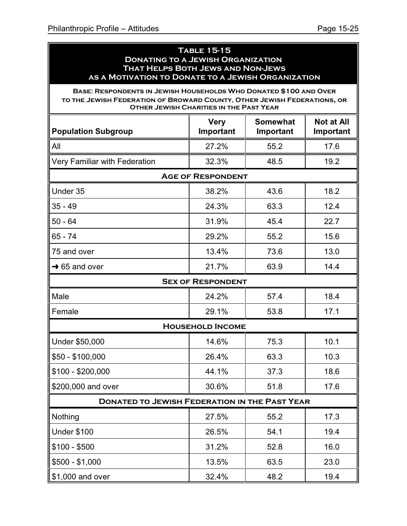#### **Table 15-15 Donating to a Jewish Organization That Helps Both Jews and Non-Jews as a Motivation to Donate to a Jewish Organization**

**Base: Respondents in Jewish Households Who Donated \$100 and Over to the Jewish Federation of Broward County, Other Jewish Federations, or Other Jewish Charities in the Past Year**

| <b>Population Subgroup</b>                           | <b>Very</b><br>Important | <b>Somewhat</b><br>Important | <b>Not at All</b><br>Important |  |  |
|------------------------------------------------------|--------------------------|------------------------------|--------------------------------|--|--|
| All                                                  | 27.2%                    | 55.2                         | 17.6                           |  |  |
| Very Familiar with Federation                        | 32.3%                    | 48.5                         | 19.2                           |  |  |
|                                                      | <b>AGE OF RESPONDENT</b> |                              |                                |  |  |
| Under 35                                             | 38.2%                    | 43.6                         | 18.2                           |  |  |
| $35 - 49$                                            | 24.3%                    | 63.3                         | 12.4                           |  |  |
| $50 - 64$                                            | 31.9%                    | 45.4                         | 22.7                           |  |  |
| 65 - 74                                              | 29.2%                    | 55.2                         | 15.6                           |  |  |
| 75 and over                                          | 13.4%                    | 73.6                         | 13.0                           |  |  |
| $\rightarrow$ 65 and over                            | 21.7%                    | 63.9                         | 14.4                           |  |  |
| <b>SEX OF RESPONDENT</b>                             |                          |                              |                                |  |  |
| Male                                                 | 24.2%                    | 57.4                         | 18.4                           |  |  |
| Female                                               | 29.1%                    | 53.8                         | 17.1                           |  |  |
|                                                      | <b>HOUSEHOLD INCOME</b>  |                              |                                |  |  |
| Under \$50,000                                       | 14.6%                    | 75.3                         | 10.1                           |  |  |
| $$50 - $100,000$                                     | 26.4%                    | 63.3                         | 10.3                           |  |  |
| $$100 - $200,000$                                    | 44.1%                    | 37.3                         | 18.6                           |  |  |
| \$200,000 and over                                   | 30.6%                    | 51.8                         | 17.6                           |  |  |
| <b>DONATED TO JEWISH FEDERATION IN THE PAST YEAR</b> |                          |                              |                                |  |  |
| Nothing                                              | 27.5%                    | 55.2                         | 17.3                           |  |  |
| <b>Under \$100</b>                                   | 26.5%                    | 54.1                         | 19.4                           |  |  |
| $$100 - $500$                                        | 31.2%                    | 52.8                         | 16.0                           |  |  |
| $$500 - $1,000$                                      | 13.5%                    | 63.5                         | 23.0                           |  |  |
| \$1,000 and over                                     | 32.4%                    | 48.2                         | 19.4                           |  |  |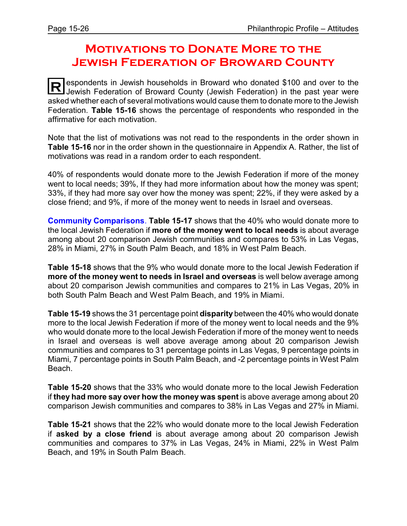### **Motivations to Donate More to the Jewish Federation of Broward County**

**R** espondents in Jewish households in Broward who donated \$100 and over to the Jewish Federation of Broward County (Jewish Federation) in the past year were asked whether each of several motivations would cause them to donate more to the Jewish Federation. **Table 15-16** shows the percentage of respondents who responded in the affirmative for each motivation.

Note that the list of motivations was not read to the respondents in the order shown in **Table 15-16** nor in the order shown in the questionnaire in Appendix A. Rather, the list of motivations was read in a random order to each respondent.

40% of respondents would donate more to the Jewish Federation if more of the money went to local needs; 39%, If they had more information about how the money was spent; 33%, if they had more say over how the money was spent; 22%, if they were asked by a close friend; and 9%, if more of the money went to needs in Israel and overseas.

**Community Comparisons**. **Table 15-17** shows that the 40% who would donate more to the local Jewish Federation if **more of the money went to local needs** is about average among about 20 comparison Jewish communities and compares to 53% in Las Vegas, 28% in Miami, 27% in South Palm Beach, and 18% in West Palm Beach.

**Table 15-18** shows that the 9% who would donate more to the local Jewish Federation if **more of the money went to needs in Israel and overseas** is well below average among about 20 comparison Jewish communities and compares to 21% in Las Vegas, 20% in both South Palm Beach and West Palm Beach, and 19% in Miami.

**Table 15-19** shows the 31 percentage point **disparity** between the 40% who would donate more to the local Jewish Federation if more of the money went to local needs and the 9% who would donate more to the local Jewish Federation if more of the money went to needs in Israel and overseas is well above average among about 20 comparison Jewish communities and compares to 31 percentage points in Las Vegas, 9 percentage points in Miami, 7 percentage points in South Palm Beach, and -2 percentage points in West Palm Beach.

**Table 15-20** shows that the 33% who would donate more to the local Jewish Federation if **they had more say over how the money was spent** is above average among about 20 comparison Jewish communities and compares to 38% in Las Vegas and 27% in Miami.

**Table 15-21** shows that the 22% who would donate more to the local Jewish Federation if **asked by a close friend** is about average among about 20 comparison Jewish communities and compares to 37% in Las Vegas, 24% in Miami, 22% in West Palm Beach, and 19% in South Palm Beach.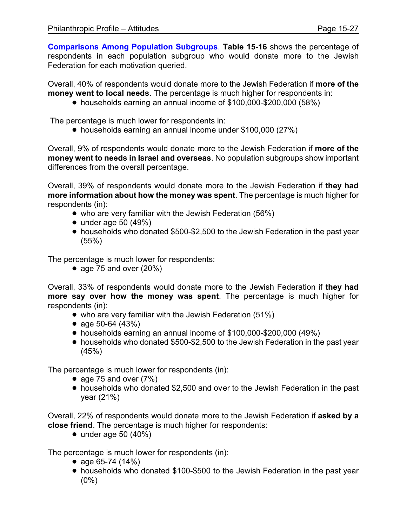**Comparisons Among Population Subgroups**. **Table 15-16** shows the percentage of respondents in each population subgroup who would donate more to the Jewish Federation for each motivation queried.

Overall, 40% of respondents would donate more to the Jewish Federation if **more of the money went to local needs**. The percentage is much higher for respondents in:

! households earning an annual income of \$100,000-\$200,000 (58%)

The percentage is much lower for respondents in:

• households earning an annual income under \$100,000 (27%)

Overall, 9% of respondents would donate more to the Jewish Federation if **more of the money went to needs in Israel and overseas**. No population subgroups show important differences from the overall percentage.

Overall, 39% of respondents would donate more to the Jewish Federation if **they had more information about how the money was spent**. The percentage is much higher for respondents (in):

- who are very familiar with the Jewish Federation (56%)
- $\bullet$  under age 50 (49%)
- ! households who donated \$500-\$2,500 to the Jewish Federation in the past year (55%)

The percentage is much lower for respondents:

• age 75 and over  $(20%)$ 

Overall, 33% of respondents would donate more to the Jewish Federation if **they had more say over how the money was spent**. The percentage is much higher for respondents (in):

- who are very familiar with the Jewish Federation (51%)
- age  $50-64$   $(43%)$
- ! households earning an annual income of \$100,000-\$200,000 (49%)
- households who donated \$500-\$2,500 to the Jewish Federation in the past year (45%)

The percentage is much lower for respondents (in):

- age 75 and over  $(7%)$
- ! households who donated \$2,500 and over to the Jewish Federation in the past year (21%)

Overall, 22% of respondents would donate more to the Jewish Federation if **asked by a close friend**. The percentage is much higher for respondents:

 $\bullet$  under age 50 (40%)

The percentage is much lower for respondents (in):

- age  $65-74$  (14%)
- ! households who donated \$100-\$500 to the Jewish Federation in the past year  $(0\%)$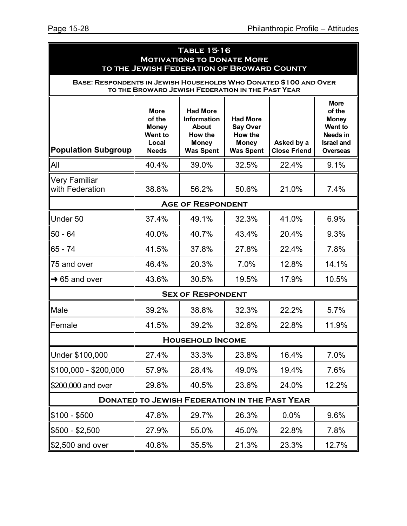| <b>TABLE 15-16</b><br><b>MOTIVATIONS TO DONATE MORE</b><br>TO THE JEWISH FEDERATION OF BROWARD COUNTY |                                                                                  |                                                                                                      |                                                                                   |                                   |                                                                                                                    |
|-------------------------------------------------------------------------------------------------------|----------------------------------------------------------------------------------|------------------------------------------------------------------------------------------------------|-----------------------------------------------------------------------------------|-----------------------------------|--------------------------------------------------------------------------------------------------------------------|
| BASE: RESPONDENTS IN JEWISH HOUSEHOLDS WHO DONATED \$100 AND OVER                                     |                                                                                  | TO THE BROWARD JEWISH FEDERATION IN THE PAST YEAR                                                    |                                                                                   |                                   |                                                                                                                    |
| <b>Population Subgroup</b>                                                                            | <b>More</b><br>of the<br><b>Money</b><br><b>Went to</b><br>Local<br><b>Needs</b> | <b>Had More</b><br><b>Information</b><br><b>About</b><br>How the<br><b>Money</b><br><b>Was Spent</b> | <b>Had More</b><br><b>Say Over</b><br>How the<br><b>Money</b><br><b>Was Spent</b> | Asked by a<br><b>Close Friend</b> | <b>More</b><br>of the<br><b>Money</b><br><b>Went to</b><br><b>Needs in</b><br><b>Israel and</b><br><b>Overseas</b> |
| All                                                                                                   | 40.4%                                                                            | 39.0%                                                                                                | 32.5%                                                                             | 22.4%                             | 9.1%                                                                                                               |
| <b>Very Familiar</b><br>with Federation                                                               | 38.8%                                                                            | 56.2%                                                                                                | 50.6%                                                                             | 21.0%                             | 7.4%                                                                                                               |
|                                                                                                       |                                                                                  | <b>AGE OF RESPONDENT</b>                                                                             |                                                                                   |                                   |                                                                                                                    |
| Under 50                                                                                              | 37.4%                                                                            | 49.1%                                                                                                | 32.3%                                                                             | 41.0%                             | 6.9%                                                                                                               |
| $50 - 64$                                                                                             | 40.0%                                                                            | 40.7%                                                                                                | 43.4%                                                                             | 20.4%                             | 9.3%                                                                                                               |
| 65 - 74                                                                                               | 41.5%                                                                            | 37.8%                                                                                                | 27.8%                                                                             | 22.4%                             | 7.8%                                                                                                               |
| 75 and over                                                                                           | 46.4%                                                                            | 20.3%                                                                                                | 7.0%                                                                              | 12.8%                             | 14.1%                                                                                                              |
| $\rightarrow$ 65 and over                                                                             | 43.6%                                                                            | 30.5%                                                                                                | 19.5%                                                                             | 17.9%                             | 10.5%                                                                                                              |
|                                                                                                       |                                                                                  | <b>SEX OF RESPONDENT</b>                                                                             |                                                                                   |                                   |                                                                                                                    |
| Male                                                                                                  | 39.2%                                                                            | 38.8%                                                                                                | 32.3%                                                                             | 22.2%                             | 5.7%                                                                                                               |
| Female                                                                                                | 41.5%                                                                            | 39.2%                                                                                                | 32.6%                                                                             | 22.8%                             | 11.9%                                                                                                              |
|                                                                                                       |                                                                                  | <b>HOUSEHOLD INCOME</b>                                                                              |                                                                                   |                                   |                                                                                                                    |
| Under \$100,000                                                                                       | 27.4%                                                                            | 33.3%                                                                                                | 23.8%                                                                             | 16.4%                             | 7.0%                                                                                                               |
| $$100,000 - $200,000$                                                                                 | 57.9%                                                                            | 28.4%                                                                                                | 49.0%                                                                             | 19.4%                             | 7.6%                                                                                                               |
| \$200,000 and over                                                                                    | 29.8%                                                                            | 40.5%                                                                                                | 23.6%                                                                             | 24.0%                             | 12.2%                                                                                                              |
| <b>DONATED TO JEWISH FEDERATION IN THE PAST YEAR</b>                                                  |                                                                                  |                                                                                                      |                                                                                   |                                   |                                                                                                                    |
| $$100 - $500$                                                                                         | 47.8%                                                                            | 29.7%                                                                                                | 26.3%                                                                             | 0.0%                              | 9.6%                                                                                                               |
| $$500 - $2,500$                                                                                       | 27.9%                                                                            | 55.0%                                                                                                | 45.0%                                                                             | 22.8%                             | 7.8%                                                                                                               |
| \$2,500 and over                                                                                      | 40.8%                                                                            | 35.5%                                                                                                | 21.3%                                                                             | 23.3%                             | 12.7%                                                                                                              |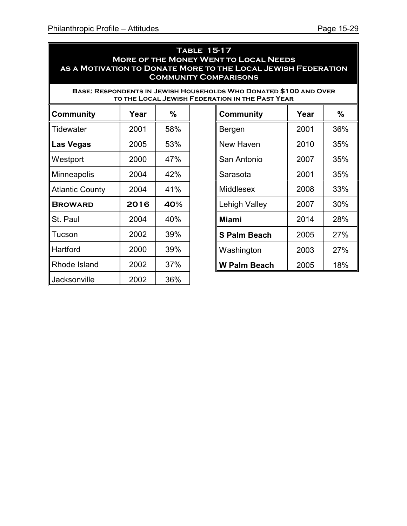#### **Table 15-17 More of the Money Went to Local Needs as a Motivation to Donate More to the Local Jewish Federation Community Comparisons**

**Base: Respondents in Jewish Households Who Donated \$100 and Over TO THE LOCAL JEWISH FEDERA** 

| Community              | Year | $\%$ |
|------------------------|------|------|
| Tidewater              | 2001 | 58%  |
| Las Vegas              | 2005 | 53%  |
| Westport               | 2000 | 47%  |
| <b>Minneapolis</b>     | 2004 | 42%  |
| <b>Atlantic County</b> | 2004 | 41%  |
| <b>BROWARD</b>         | 2016 | 40%  |
| St. Paul               | 2004 | 40%  |
| Tucson                 | 2002 | 39%  |
| Hartford               | 2000 | 39%  |
| Rhode Island           | 2002 | 37%  |
| Jacksonville           | 2002 | 36%  |

| TION IN THE PAST YEAR) |      |               |  |
|------------------------|------|---------------|--|
| <b>Community</b>       | Year | $\frac{0}{0}$ |  |
| Bergen                 | 2001 | 36%           |  |
| New Haven              | 2010 | 35%           |  |
| San Antonio            | 2007 | 35%           |  |
| Sarasota               | 2001 | 35%           |  |
| Middlesex              | 2008 | 33%           |  |
| Lehigh Valley          | 2007 | 30%           |  |
| <b>Miami</b>           | 2014 | 28%           |  |
| <b>S Palm Beach</b>    | 2005 | 27%           |  |
| Washington             | 2003 | 27%           |  |
| W Palm Beach           | 2005 | 18%           |  |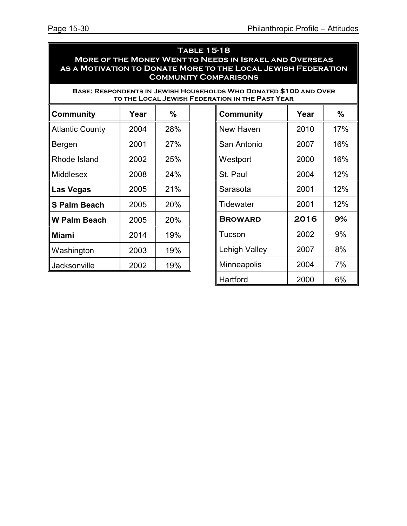### **Table 15-18 More of the Money Went to Needs in Israel and Overseas as a Motivation to Donate More to the Local Jewish Federation Community Comparisons**

**Base: Respondents in Jewish Households Who Donated \$100 and Over TO THE LOCAL JEWISH FEDERATE** 

| Community              | Year | $\%$ |
|------------------------|------|------|
| <b>Atlantic County</b> | 2004 | 28%  |
| Bergen                 | 2001 | 27%  |
| Rhode Island           | 2002 | 25%  |
| Middlesex              | 2008 | 24%  |
| <b>Las Vegas</b>       | 2005 | 21%  |
| <b>S Palm Beach</b>    | 2005 | 20%  |
| <b>W Palm Beach</b>    | 2005 | 20%  |
| <b>Miami</b>           | 2014 | 19%  |
| Washington             | 2003 | 19%  |
| Jacksonville           | 2002 | 19%  |

| TION IN THE PAST YEAR. |      |     |  |
|------------------------|------|-----|--|
| Community              | Year | %   |  |
| New Haven              | 2010 | 17% |  |
| San Antonio            | 2007 | 16% |  |
| Westport               | 2000 | 16% |  |
| St. Paul               | 2004 | 12% |  |
| Sarasota               | 2001 | 12% |  |
| Tidewater              | 2001 | 12% |  |
| <b>BROWARD</b>         | 2016 | 9%  |  |
| Tucson                 | 2002 | 9%  |  |
| Lehigh Valley          | 2007 | 8%  |  |
| Minneapolis            | 2004 | 7%  |  |
| Hartford               | 2000 | 6%  |  |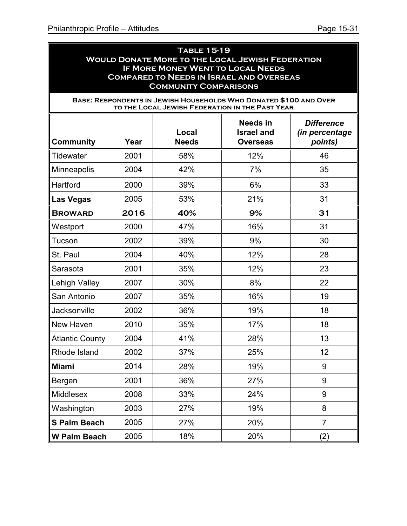ä

| <b>TABLE 15-19</b><br><b>WOULD DONATE MORE TO THE LOCAL JEWISH FEDERATION</b><br>IF MORE MONEY WENT TO LOCAL NEEDS<br><b>COMPARED TO NEEDS IN ISRAEL AND OVERSEAS</b><br><b>COMMUNITY COMPARISONS</b> |      |                                                                                                                      |                                                  |                                                       |
|-------------------------------------------------------------------------------------------------------------------------------------------------------------------------------------------------------|------|----------------------------------------------------------------------------------------------------------------------|--------------------------------------------------|-------------------------------------------------------|
|                                                                                                                                                                                                       |      | BASE: RESPONDENTS IN JEWISH HOUSEHOLDS WHO DONATED \$100 AND OVER<br>TO THE LOCAL JEWISH FEDERATION IN THE PAST YEAR |                                                  |                                                       |
| <b>Community</b>                                                                                                                                                                                      | Year | Local<br><b>Needs</b>                                                                                                | Needs in<br><b>Israel and</b><br><b>Overseas</b> | <b>Difference</b><br><i>(in percentage</i><br>points) |
| <b>Tidewater</b>                                                                                                                                                                                      | 2001 | 58%                                                                                                                  | 12%                                              | 46                                                    |
| <b>Minneapolis</b>                                                                                                                                                                                    | 2004 | 42%                                                                                                                  | 7%                                               | 35                                                    |
| Hartford                                                                                                                                                                                              | 2000 | 39%                                                                                                                  | 6%                                               | 33                                                    |
| <b>Las Vegas</b>                                                                                                                                                                                      | 2005 | 53%                                                                                                                  | 21%                                              | 31                                                    |
| <b>BROWARD</b>                                                                                                                                                                                        | 2016 | 40%                                                                                                                  | 9%                                               | 31                                                    |
| Westport                                                                                                                                                                                              | 2000 | 47%                                                                                                                  | 16%                                              | 31                                                    |
| Tucson                                                                                                                                                                                                | 2002 | 39%                                                                                                                  | 9%                                               | 30                                                    |
| St. Paul                                                                                                                                                                                              | 2004 | 40%                                                                                                                  | 12%                                              | 28                                                    |
| Sarasota                                                                                                                                                                                              | 2001 | 35%                                                                                                                  | 12%                                              | 23                                                    |
| <b>Lehigh Valley</b>                                                                                                                                                                                  | 2007 | 30%                                                                                                                  | 8%                                               | 22                                                    |
| San Antonio                                                                                                                                                                                           | 2007 | 35%                                                                                                                  | 16%                                              | 19                                                    |
| Jacksonville                                                                                                                                                                                          | 2002 | 36%                                                                                                                  | 19%                                              | 18                                                    |
| New Haven                                                                                                                                                                                             | 2010 | 35%                                                                                                                  | 17%                                              | 18                                                    |
| <b>Atlantic County</b>                                                                                                                                                                                | 2004 | 41%                                                                                                                  | 28%                                              | 13                                                    |
| Rhode Island                                                                                                                                                                                          | 2002 | 37%                                                                                                                  | 25%                                              | 12                                                    |
| Miami                                                                                                                                                                                                 | 2014 | 28%                                                                                                                  | 19%                                              | 9                                                     |
| Bergen                                                                                                                                                                                                | 2001 | 36%                                                                                                                  | 27%                                              | 9                                                     |
| Middlesex                                                                                                                                                                                             | 2008 | 33%                                                                                                                  | 24%                                              | 9                                                     |
| Washington                                                                                                                                                                                            | 2003 | 27%                                                                                                                  | 19%                                              | 8                                                     |
| <b>S Palm Beach</b>                                                                                                                                                                                   | 2005 | 27%                                                                                                                  | 20%                                              | $\overline{7}$                                        |
| W Palm Beach                                                                                                                                                                                          | 2005 | 18%                                                                                                                  | 20%                                              | (2)                                                   |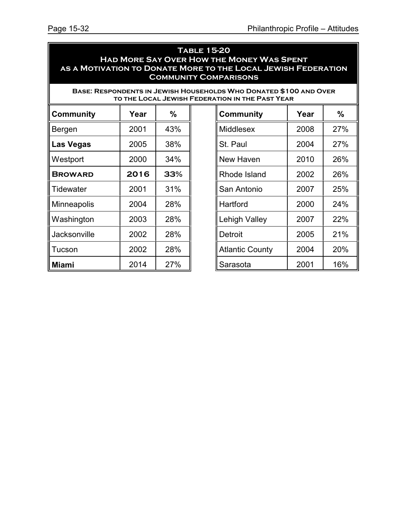### **Table 15-20 Had More Say Over How the Money Was Spent as a Motivation to Donate More to the Local Jewish Federation Community Comparisons**

**Base: Respondents in Jewish Households Who Donated \$100 and Over TO THE LOCAL JEWISH FEDERA** 

| Community      | Year | $\frac{0}{0}$ |
|----------------|------|---------------|
| Bergen         | 2001 | 43%           |
| Las Vegas      | 2005 | 38%           |
| Westport       | 2000 | 34%           |
| <b>BROWARD</b> | 2016 | 33%           |
| Tidewater      | 2001 | 31%           |
| Minneapolis    | 2004 | 28%           |
| Washington     | 2003 | 28%           |
| Jacksonville   | 2002 | 28%           |
| Tucson         | 2002 | 28%           |
| Miami          | 2014 | 27%           |

| \TION IN THE PAST YEAR |      |      |  |  |
|------------------------|------|------|--|--|
| Community              | Year | $\%$ |  |  |
| Middlesex              | 2008 | 27%  |  |  |
| St. Paul               | 2004 | 27%  |  |  |
| <b>New Haven</b>       | 2010 | 26%  |  |  |
| Rhode Island           | 2002 | 26%  |  |  |
| San Antonio            | 2007 | 25%  |  |  |
| Hartford               | 2000 | 24%  |  |  |
| Lehigh Valley          | 2007 | 22%  |  |  |
| Detroit                | 2005 | 21%  |  |  |
| <b>Atlantic County</b> | 2004 | 20%  |  |  |
| Sarasota               | 2001 | 16%  |  |  |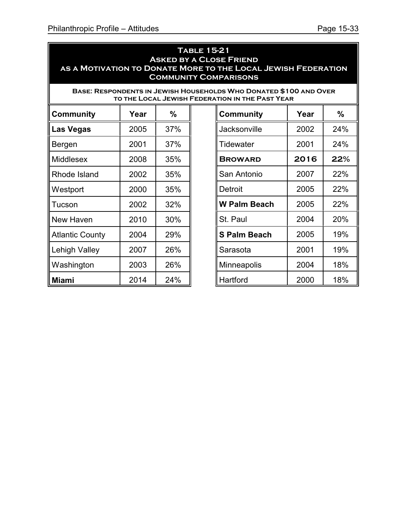#### **Table 15-21 Asked by a Close Friend as a Motivation to Donate More to the Local Jewish Federation Community Comparisons**

**Base: Respondents in Jewish Households Who Donated \$100 and Over TO THE LOCAL JEWISH FEDERA** 

| Community              | Year | $\%$ |
|------------------------|------|------|
| Las Vegas              | 2005 | 37%  |
| Bergen                 | 2001 | 37%  |
| Middlesex              | 2008 | 35%  |
| Rhode Island           | 2002 | 35%  |
| Westport               | 2000 | 35%  |
| Tucson                 | 2002 | 32%  |
| New Haven              | 2010 | 30%  |
| <b>Atlantic County</b> | 2004 | 29%  |
| Lehigh Valley          | 2007 | 26%  |
| Washington             | 2003 | 26%  |
| Miami                  | 2014 | 24%  |

|                     | TION IN THE PAST YEAR. |            |  |  |  |
|---------------------|------------------------|------------|--|--|--|
| Community           | Year                   | %          |  |  |  |
| Jacksonville        | 2002                   | 24%        |  |  |  |
| <b>Tidewater</b>    | 2001                   | 24%        |  |  |  |
| <b>BROWARD</b>      | 2016                   | 22%        |  |  |  |
| San Antonio         | 2007                   | 22%        |  |  |  |
| Detroit             | 2005                   | 22%        |  |  |  |
| <b>W Palm Beach</b> | 2005                   | <b>22%</b> |  |  |  |
| St. Paul            | 2004                   | 20%        |  |  |  |
| <b>S Palm Beach</b> | 2005                   | 19%        |  |  |  |
| Sarasota            | 2001                   | 19%        |  |  |  |
| Minneapolis         | 2004                   | 18%        |  |  |  |
| Hartford            | 2000                   | 18%        |  |  |  |